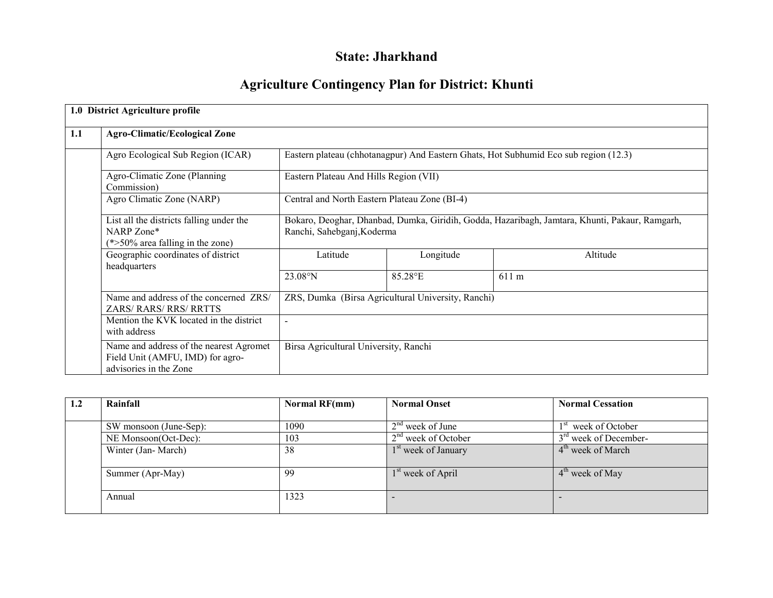# State: Jharkhand

# Agriculture Contingency Plan for District: Khunti

|     | 1.0 District Agriculture profile                                                                      |                                                                                                                                                                               |                                                    |                                                                                      |  |  |  |  |  |
|-----|-------------------------------------------------------------------------------------------------------|-------------------------------------------------------------------------------------------------------------------------------------------------------------------------------|----------------------------------------------------|--------------------------------------------------------------------------------------|--|--|--|--|--|
| 1.1 | <b>Agro-Climatic/Ecological Zone</b>                                                                  |                                                                                                                                                                               |                                                    |                                                                                      |  |  |  |  |  |
|     | Agro Ecological Sub Region (ICAR)                                                                     |                                                                                                                                                                               |                                                    | Eastern plateau (chhotanagpur) And Eastern Ghats, Hot Subhumid Eco sub region (12.3) |  |  |  |  |  |
|     | Agro-Climatic Zone (Planning<br>Commission)                                                           | Eastern Plateau And Hills Region (VII)                                                                                                                                        |                                                    |                                                                                      |  |  |  |  |  |
|     | Agro Climatic Zone (NARP)                                                                             | Central and North Eastern Plateau Zone (BI-4)<br>Bokaro, Deoghar, Dhanbad, Dumka, Giridih, Godda, Hazaribagh, Jamtara, Khunti, Pakaur, Ramgarh,<br>Ranchi, Sahebganj, Koderma |                                                    |                                                                                      |  |  |  |  |  |
|     | List all the districts falling under the<br>NARP Zone*<br>$(*>50\%$ area falling in the zone)         |                                                                                                                                                                               |                                                    |                                                                                      |  |  |  |  |  |
|     | Geographic coordinates of district<br>headquarters                                                    | Latitude                                                                                                                                                                      | Longitude                                          | Altitude                                                                             |  |  |  |  |  |
|     |                                                                                                       | $23.08^{\circ}$ N                                                                                                                                                             | 85.28°E                                            | 611 m                                                                                |  |  |  |  |  |
|     | Name and address of the concerned ZRS/<br><b>ZARS/ RARS/ RRS/ RRTTS</b>                               |                                                                                                                                                                               | ZRS, Dumka (Birsa Agricultural University, Ranchi) |                                                                                      |  |  |  |  |  |
|     | Mention the KVK located in the district<br>with address                                               |                                                                                                                                                                               |                                                    |                                                                                      |  |  |  |  |  |
|     | Name and address of the nearest Agromet<br>Field Unit (AMFU, IMD) for agro-<br>advisories in the Zone | Birsa Agricultural University, Ranchi                                                                                                                                         |                                                    |                                                                                      |  |  |  |  |  |

| 1.2 | Rainfall               | Normal RF(mm) | <b>Normal Onset</b>             | <b>Normal Cessation</b>            |
|-----|------------------------|---------------|---------------------------------|------------------------------------|
|     |                        |               |                                 |                                    |
|     | SW monsoon (June-Sep): | 1090          | $2nd$ week of June              | week of October<br>1 <sup>st</sup> |
|     | NE Monsoon(Oct-Dec):   | 103           | $2nd$ week of October           | $3rd$ week of December-            |
|     | Winter (Jan-March)     | 38            | 1 <sup>st</sup> week of January | 4 <sup>th</sup> week of March      |
|     |                        |               |                                 |                                    |
|     | Summer (Apr-May)       | 99            | 1 <sup>st</sup> week of April   | $4th$ week of May                  |
|     |                        |               |                                 |                                    |
|     | Annual                 | 1323          |                                 |                                    |
|     |                        |               |                                 |                                    |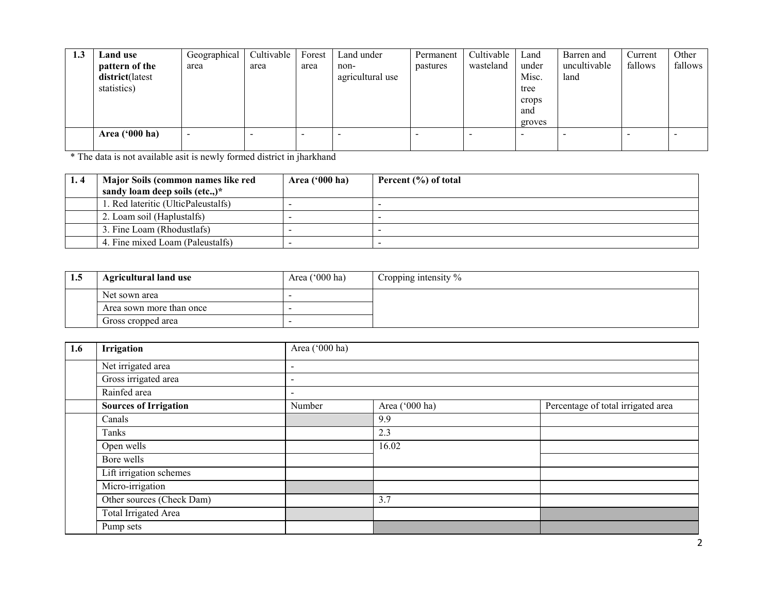| 1.3 | Land use                | Geographical             | Cultivable | Forest | Land under       | Permanent | Cultivable | Land   | Barren and   | Current | Other   |
|-----|-------------------------|--------------------------|------------|--------|------------------|-----------|------------|--------|--------------|---------|---------|
|     | pattern of the          | area                     | area       | area   | non-             | pastures  | wasteland  | under  | uncultivable | fallows | fallows |
|     | district(latest         |                          |            |        | agricultural use |           |            | Misc.  | land         |         |         |
|     | statistics)             |                          |            |        |                  |           |            | tree   |              |         |         |
|     |                         |                          |            |        |                  |           |            | crops  |              |         |         |
|     |                         |                          |            |        |                  |           |            | and    |              |         |         |
|     |                         |                          |            |        |                  |           |            | groves |              |         |         |
|     | Area $(900 \text{ ha})$ | $\overline{\phantom{0}}$ |            | -      |                  |           |            | -      |              |         |         |
|     |                         |                          |            |        |                  |           |            |        |              |         |         |

\* The data is not available asit is newly formed district in jharkhand

| Major Soils (common names like red  | Area $('000 ha)$ | Percent (%) of total |
|-------------------------------------|------------------|----------------------|
| sandy loam deep soils (etc.,)*      |                  |                      |
| 1. Red lateritic (UlticPaleustalfs) |                  |                      |
| 2. Loam soil (Haplustalfs)          |                  |                      |
| 3. Fine Loam (Rhodustlafs)          |                  |                      |
| 4. Fine mixed Loam (Paleustalfs)    |                  |                      |

| 1.5 | <b>Agricultural land use</b> | Area $('000 ha)$ | Cropping intensity $\%$ |
|-----|------------------------------|------------------|-------------------------|
|     | Net sown area                |                  |                         |
|     | Area sown more than once     |                  |                         |
|     | Gross cropped area           |                  |                         |

| 1.6 | Irrigation                   | Area ('000 ha)                                                 |       |  |  |  |  |  |  |
|-----|------------------------------|----------------------------------------------------------------|-------|--|--|--|--|--|--|
|     | Net irrigated area           | $\overline{\phantom{a}}$                                       |       |  |  |  |  |  |  |
|     | Gross irrigated area         | $\overline{\phantom{a}}$                                       |       |  |  |  |  |  |  |
|     | Rainfed area                 | $\overline{\phantom{a}}$                                       |       |  |  |  |  |  |  |
|     | <b>Sources of Irrigation</b> | Percentage of total irrigated area<br>Area ('000 ha)<br>Number |       |  |  |  |  |  |  |
|     | Canals                       |                                                                | 9.9   |  |  |  |  |  |  |
|     | Tanks                        |                                                                | 2.3   |  |  |  |  |  |  |
|     | Open wells                   |                                                                | 16.02 |  |  |  |  |  |  |
|     | Bore wells                   |                                                                |       |  |  |  |  |  |  |
|     | Lift irrigation schemes      |                                                                |       |  |  |  |  |  |  |
|     | Micro-irrigation             |                                                                |       |  |  |  |  |  |  |
|     | Other sources (Check Dam)    |                                                                | 3.7   |  |  |  |  |  |  |
|     | Total Irrigated Area         |                                                                |       |  |  |  |  |  |  |
|     | Pump sets                    |                                                                |       |  |  |  |  |  |  |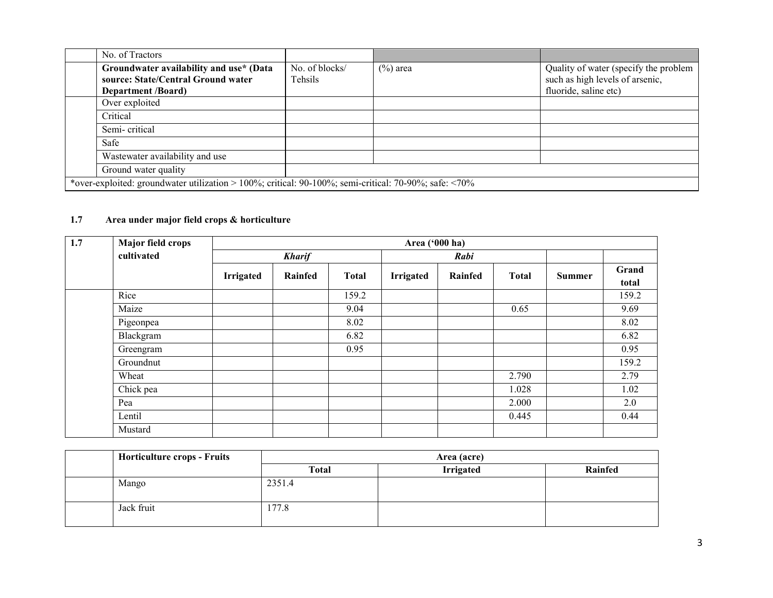| No. of Tractors                                                                                              |                           |             |                                                                                                   |
|--------------------------------------------------------------------------------------------------------------|---------------------------|-------------|---------------------------------------------------------------------------------------------------|
| Groundwater availability and use* (Data<br>source: State/Central Ground water<br><b>Department /Board)</b>   | No. of blocks/<br>Tehsils | $(\%)$ area | Quality of water (specify the problem<br>such as high levels of arsenic,<br>fluoride, saline etc) |
| Over exploited                                                                                               |                           |             |                                                                                                   |
| Critical                                                                                                     |                           |             |                                                                                                   |
| Semi-critical                                                                                                |                           |             |                                                                                                   |
| Safe                                                                                                         |                           |             |                                                                                                   |
| Wastewater availability and use                                                                              |                           |             |                                                                                                   |
| Ground water quality                                                                                         |                           |             |                                                                                                   |
| *over-exploited: groundwater utilization > 100%; critical: 90-100%; semi-critical: 70-90%; safe: $\leq 70\%$ |                           |             |                                                                                                   |

### 1.7 Area under major field crops & horticulture

| 1.7 | <b>Major field crops</b> |           |               |              | Area ('000 ha) |         |              |               |                |
|-----|--------------------------|-----------|---------------|--------------|----------------|---------|--------------|---------------|----------------|
|     | cultivated               |           | <b>Kharif</b> |              |                | Rabi    |              |               |                |
|     |                          | Irrigated | Rainfed       | <b>Total</b> | Irrigated      | Rainfed | <b>Total</b> | <b>Summer</b> | Grand<br>total |
|     | Rice                     |           |               | 159.2        |                |         |              |               | 159.2          |
|     | Maize                    |           |               | 9.04         |                |         | 0.65         |               | 9.69           |
|     | Pigeonpea                |           |               | 8.02         |                |         |              |               | 8.02           |
|     | Blackgram                |           |               | 6.82         |                |         |              |               | 6.82           |
|     | Greengram                |           |               | 0.95         |                |         |              |               | 0.95           |
|     | Groundnut                |           |               |              |                |         |              |               | 159.2          |
|     | Wheat                    |           |               |              |                |         | 2.790        |               | 2.79           |
|     | Chick pea                |           |               |              |                |         | 1.028        |               | 1.02           |
|     | Pea                      |           |               |              |                |         | 2.000        |               | 2.0            |
|     | Lentil                   |           |               |              |                |         | 0.445        |               | 0.44           |
|     | Mustard                  |           |               |              |                |         |              |               |                |

| <b>Horticulture crops - Fruits</b> | Area (acre) |                  |         |  |  |
|------------------------------------|-------------|------------------|---------|--|--|
|                                    | Total       | <b>Irrigated</b> | Rainfed |  |  |
| Mango                              | 2351.4      |                  |         |  |  |
| Jack fruit                         | 177.8       |                  |         |  |  |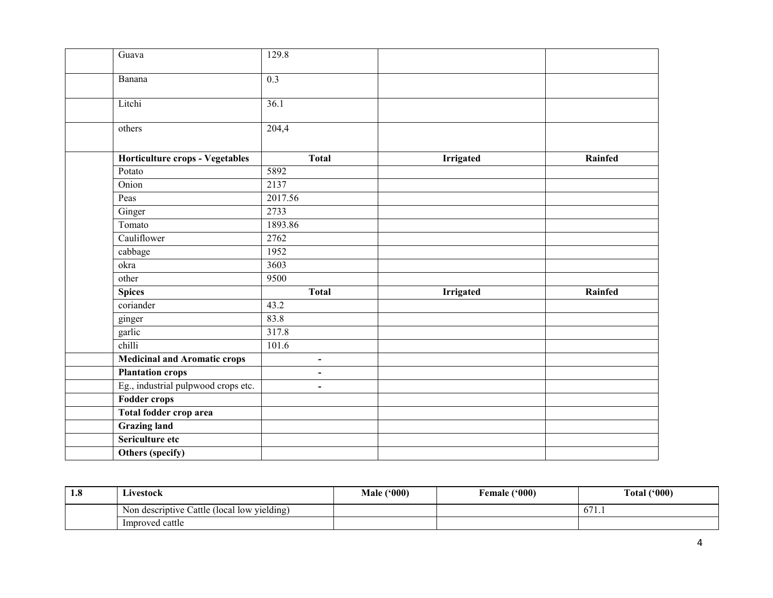| Guava                               | 129.8                    |                  |         |
|-------------------------------------|--------------------------|------------------|---------|
| Banana                              | $\overline{0.3}$         |                  |         |
| Litchi                              | 36.1                     |                  |         |
| others                              | 204,4                    |                  |         |
| Horticulture crops - Vegetables     | <b>Total</b>             | <b>Irrigated</b> | Rainfed |
| Potato                              | 5892                     |                  |         |
| Onion                               | 2137                     |                  |         |
| Peas                                | 2017.56                  |                  |         |
| Ginger                              | 2733                     |                  |         |
| Tomato                              | 1893.86                  |                  |         |
| Cauliflower                         | 2762                     |                  |         |
| cabbage                             | 1952                     |                  |         |
| okra                                | 3603                     |                  |         |
| other                               | 9500                     |                  |         |
| <b>Spices</b>                       | <b>Total</b>             | <b>Irrigated</b> | Rainfed |
| coriander                           | 43.2                     |                  |         |
| ginger                              | 83.8                     |                  |         |
| garlic                              | 317.8                    |                  |         |
| chilli                              | 101.6                    |                  |         |
| <b>Medicinal and Aromatic crops</b> | $\overline{\phantom{a}}$ |                  |         |
| <b>Plantation crops</b>             | $\overline{\phantom{a}}$ |                  |         |
| Eg., industrial pulpwood crops etc. | $\overline{\phantom{a}}$ |                  |         |
| <b>Fodder crops</b>                 |                          |                  |         |
| Total fodder crop area              |                          |                  |         |
| <b>Grazing land</b>                 |                          |                  |         |
| Sericulture etc                     |                          |                  |         |
| Others (specify)                    |                          |                  |         |

| 1.8 | Livestock                                             | (000)<br><b>Male</b> | (900)<br>Female | Total ('000)               |
|-----|-------------------------------------------------------|----------------------|-----------------|----------------------------|
|     | .<br>n descriptive Cattle (local low yielding)<br>Non |                      |                 | $\epsilon$ $\sim$<br>0/1.1 |
|     | Improved cattle                                       |                      |                 |                            |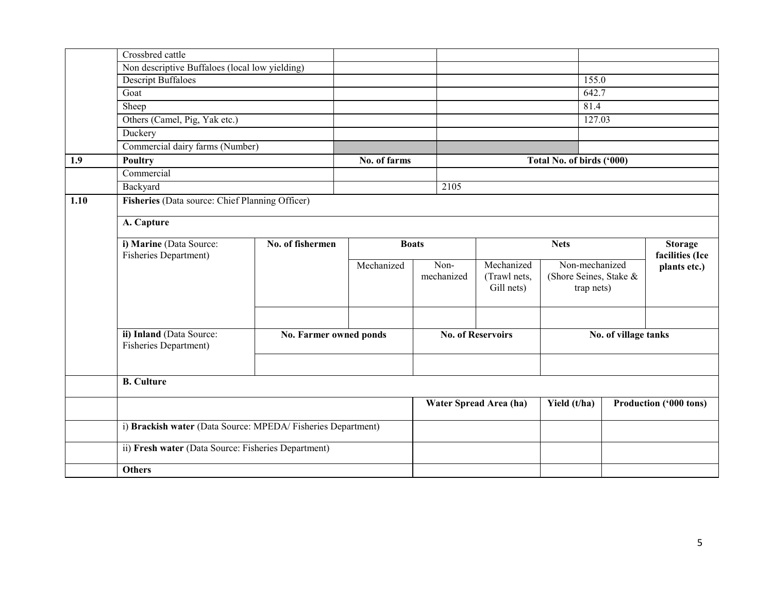|      | Crossbred cattle                                             |                        |              |                    |                                          |                                                        |                                |                        |
|------|--------------------------------------------------------------|------------------------|--------------|--------------------|------------------------------------------|--------------------------------------------------------|--------------------------------|------------------------|
|      | Non descriptive Buffaloes (local low yielding)               |                        |              |                    |                                          |                                                        |                                |                        |
|      | <b>Descript Buffaloes</b>                                    |                        |              |                    |                                          | 155.0                                                  |                                |                        |
|      | Goat                                                         |                        |              |                    |                                          | 642.7                                                  |                                |                        |
|      | Sheep                                                        |                        |              |                    |                                          | 81.4                                                   |                                |                        |
|      | Others (Camel, Pig, Yak etc.)                                |                        |              |                    |                                          | 127.03                                                 |                                |                        |
|      | Duckery                                                      |                        |              |                    |                                          |                                                        |                                |                        |
|      | Commercial dairy farms (Number)                              |                        |              |                    |                                          |                                                        |                                |                        |
| 1.9  | Poultry                                                      |                        | No. of farms |                    |                                          | Total No. of birds ('000)                              |                                |                        |
|      | Commercial                                                   |                        |              |                    |                                          |                                                        |                                |                        |
|      | Backyard                                                     |                        |              | 2105               |                                          |                                                        |                                |                        |
| 1.10 | Fisheries (Data source: Chief Planning Officer)              |                        |              |                    |                                          |                                                        |                                |                        |
|      | A. Capture                                                   |                        |              |                    |                                          |                                                        |                                |                        |
|      | i) Marine (Data Source:<br><b>Fisheries Department)</b>      | No. of fishermen       |              |                    | <b>Boats</b>                             |                                                        | <b>Nets</b><br>facilities (Ice |                        |
|      |                                                              |                        | Mechanized   | Non-<br>mechanized | Mechanized<br>(Trawl nets,<br>Gill nets) | Non-mechanized<br>(Shore Seines, Stake &<br>trap nets) |                                | plants etc.)           |
|      |                                                              |                        |              |                    |                                          |                                                        |                                |                        |
|      | ii) Inland (Data Source:<br>Fisheries Department)            | No. Farmer owned ponds |              |                    | <b>No. of Reservoirs</b>                 | No. of village tanks                                   |                                |                        |
|      |                                                              |                        |              |                    |                                          |                                                        |                                |                        |
|      | <b>B.</b> Culture                                            |                        |              |                    |                                          |                                                        |                                |                        |
|      |                                                              |                        |              |                    | Water Spread Area (ha)                   | Yield (t/ha)                                           |                                | Production ('000 tons) |
|      | i) Brackish water (Data Source: MPEDA/ Fisheries Department) |                        |              |                    |                                          |                                                        |                                |                        |
|      | ii) Fresh water (Data Source: Fisheries Department)          |                        |              |                    |                                          |                                                        |                                |                        |
|      | <b>Others</b>                                                |                        |              |                    |                                          |                                                        |                                |                        |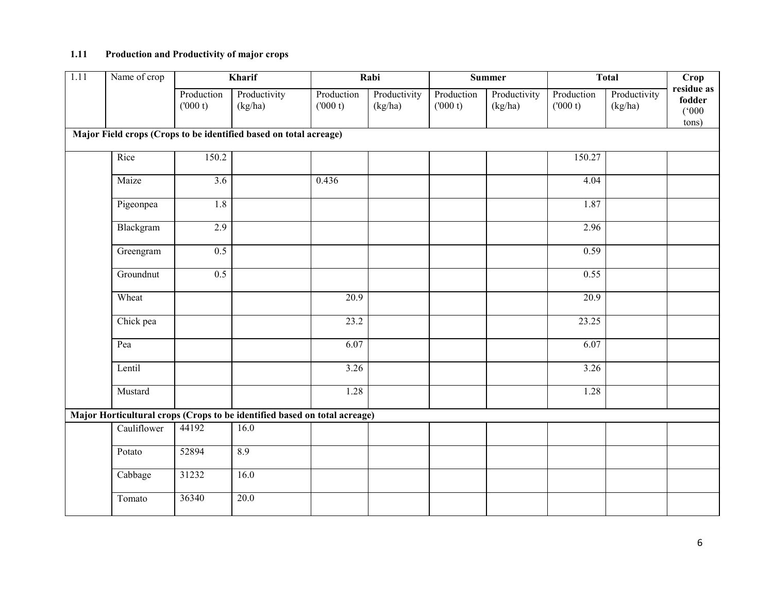# 1.11 Production and Productivity of major crops

| 1.11 | Name of crop |                       | Kharif                                                                    |                       | Rabi                    |                       | Summer                  |                       | <b>Total</b>            | Crop                                   |
|------|--------------|-----------------------|---------------------------------------------------------------------------|-----------------------|-------------------------|-----------------------|-------------------------|-----------------------|-------------------------|----------------------------------------|
|      |              | Production<br>(000 t) | Productivity<br>(kg/ha)                                                   | Production<br>(000 t) | Productivity<br>(kg/ha) | Production<br>(000 t) | Productivity<br>(kg/ha) | Production<br>(000 t) | Productivity<br>(kg/ha) | residue as<br>fodder<br>(000)<br>tons) |
|      |              |                       | Major Field crops (Crops to be identified based on total acreage)         |                       |                         |                       |                         |                       |                         |                                        |
|      | Rice         | 150.2                 |                                                                           |                       |                         |                       |                         | 150.27                |                         |                                        |
|      | Maize        | $\overline{3.6}$      |                                                                           | 0.436                 |                         |                       |                         | 4.04                  |                         |                                        |
|      | Pigeonpea    | $\overline{1.8}$      |                                                                           |                       |                         |                       |                         | 1.87                  |                         |                                        |
|      | Blackgram    | 2.9                   |                                                                           |                       |                         |                       |                         | 2.96                  |                         |                                        |
|      | Greengram    | 0.5                   |                                                                           |                       |                         |                       |                         | 0.59                  |                         |                                        |
|      | Groundnut    | $\overline{0.5}$      |                                                                           |                       |                         |                       |                         | 0.55                  |                         |                                        |
|      | Wheat        |                       |                                                                           | 20.9                  |                         |                       |                         | 20.9                  |                         |                                        |
|      | Chick pea    |                       |                                                                           | 23.2                  |                         |                       |                         | 23.25                 |                         |                                        |
|      | Pea          |                       |                                                                           | 6.07                  |                         |                       |                         | 6.07                  |                         |                                        |
|      | Lentil       |                       |                                                                           | $\overline{3.26}$     |                         |                       |                         | 3.26                  |                         |                                        |
|      | Mustard      |                       |                                                                           | 1.28                  |                         |                       |                         | 1.28                  |                         |                                        |
|      |              |                       | Major Horticultural crops (Crops to be identified based on total acreage) |                       |                         |                       |                         |                       |                         |                                        |
|      | Cauliflower  | 44192                 | 16.0                                                                      |                       |                         |                       |                         |                       |                         |                                        |
|      | Potato       | 52894                 | 8.9                                                                       |                       |                         |                       |                         |                       |                         |                                        |
|      | Cabbage      | 31232                 | 16.0                                                                      |                       |                         |                       |                         |                       |                         |                                        |
|      | Tomato       | 36340                 | 20.0                                                                      |                       |                         |                       |                         |                       |                         |                                        |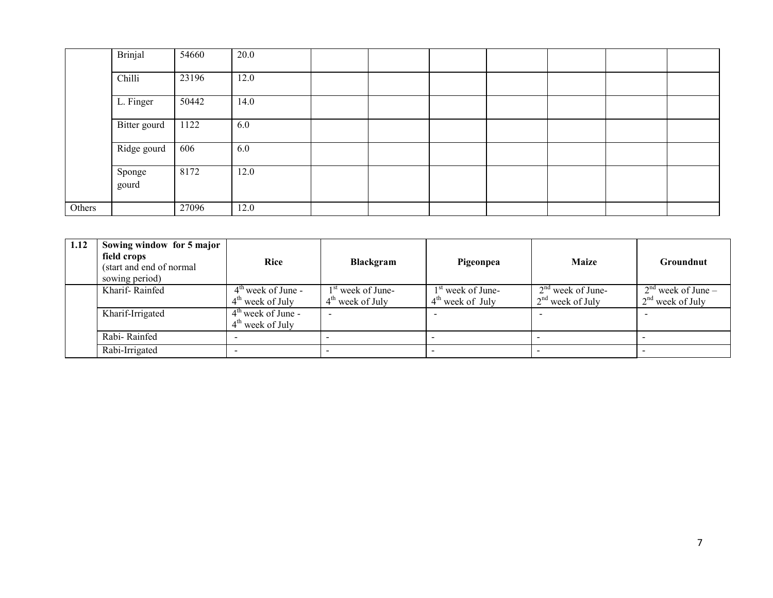|        | Brinjal         | 54660 | 20.0 |  |  |  |  |
|--------|-----------------|-------|------|--|--|--|--|
|        | Chilli          | 23196 | 12.0 |  |  |  |  |
|        | L. Finger       | 50442 | 14.0 |  |  |  |  |
|        | Bitter gourd    | 1122  | 6.0  |  |  |  |  |
|        | Ridge gourd     | 606   | 6.0  |  |  |  |  |
|        | Sponge<br>gourd | 8172  | 12.0 |  |  |  |  |
| Others |                 | 27096 | 12.0 |  |  |  |  |

| 1.12 | Sowing window for 5 major<br>field crops<br>(start and end of normal)<br>sowing period) | Rice                                       | <b>Blackgram</b>                          | Pigeonpea                                 | <b>Maize</b>                              | Groundnut                                  |
|------|-----------------------------------------------------------------------------------------|--------------------------------------------|-------------------------------------------|-------------------------------------------|-------------------------------------------|--------------------------------------------|
|      | Kharif-Rainfed                                                                          | $4th$ week of June -<br>$4th$ week of July | $1st$ week of June-<br>$4th$ week of July | $1st$ week of June-<br>$4th$ week of July | $2nd$ week of June-<br>$2nd$ week of July | $2nd$ week of June –<br>$2nd$ week of July |
|      | Kharif-Irrigated                                                                        | $4th$ week of June -<br>$4th$ week of July |                                           |                                           |                                           |                                            |
|      | Rabi-Rainfed                                                                            |                                            |                                           |                                           |                                           |                                            |
|      | Rabi-Irrigated                                                                          |                                            |                                           |                                           |                                           |                                            |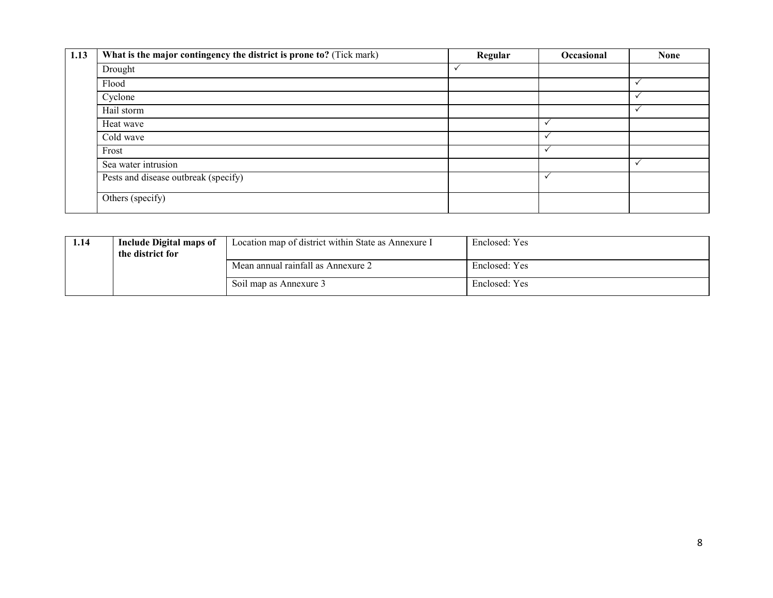| 1.13 | What is the major contingency the district is prone to? (Tick mark) | Regular | Occasional   | <b>None</b>  |
|------|---------------------------------------------------------------------|---------|--------------|--------------|
|      | Drought                                                             |         |              |              |
|      | Flood                                                               |         |              | $\checkmark$ |
|      | Cyclone                                                             |         |              | v            |
|      | Hail storm                                                          |         |              | $\checkmark$ |
|      | Heat wave                                                           |         | v            |              |
|      | Cold wave                                                           |         | $\checkmark$ |              |
|      | Frost                                                               |         | $\checkmark$ |              |
|      | Sea water intrusion                                                 |         |              | $\checkmark$ |
|      | Pests and disease outbreak (specify)                                |         | $\checkmark$ |              |
|      | Others (specify)                                                    |         |              |              |

| 1.14 | Include Digital maps of<br>the district for | Location map of district within State as Annexure I | Enclosed: Yes |
|------|---------------------------------------------|-----------------------------------------------------|---------------|
|      |                                             | Mean annual rainfall as Annexure 2                  | Enclosed: Yes |
|      |                                             | Soil map as Annexure 3                              | Enclosed: Yes |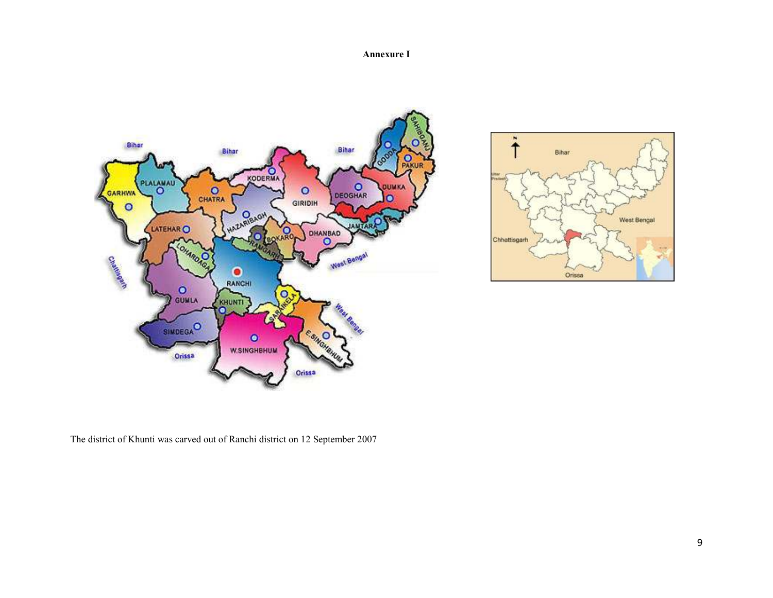#### Annexure I





The district of Khunti was carved out of Ranchi district on 12 September 2007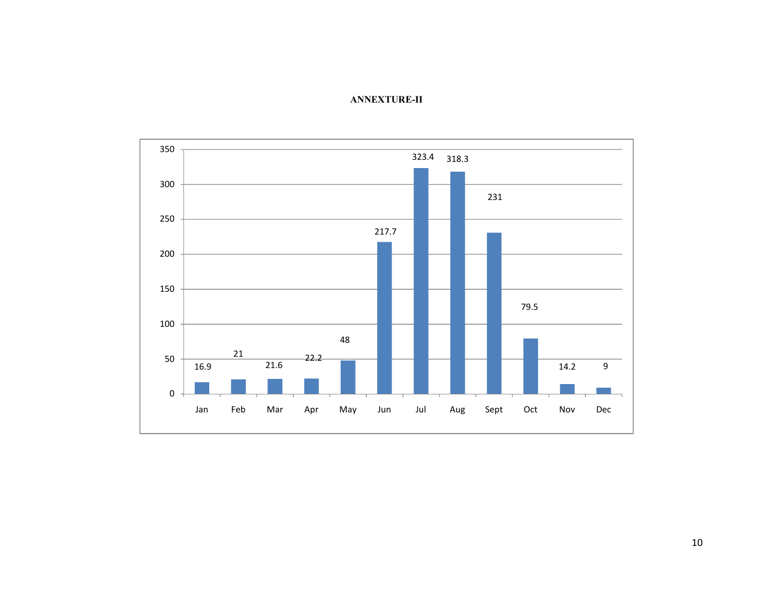

#### ANNEXTURE-II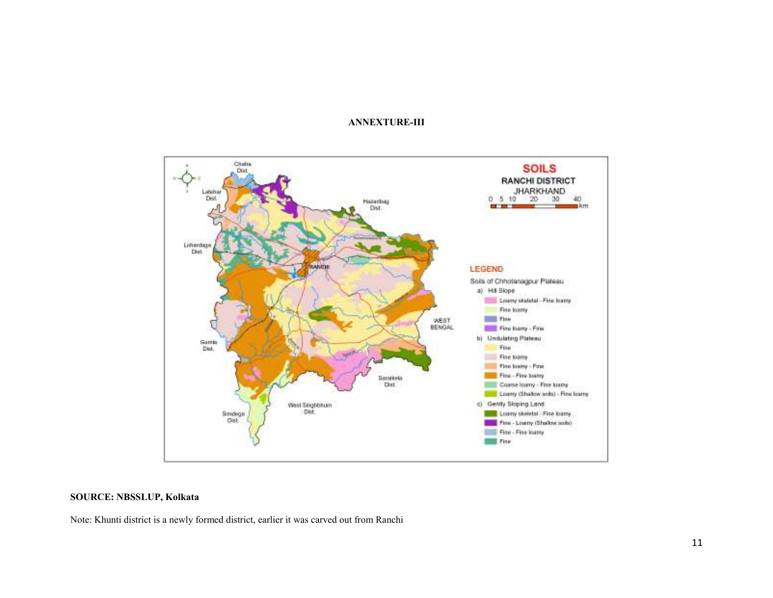#### ANNEXTURE-III



#### SOURCE: NBSSLUP, Kolkata

Note: Khunti district is a newly formed district, earlier it was carved out from Ranchi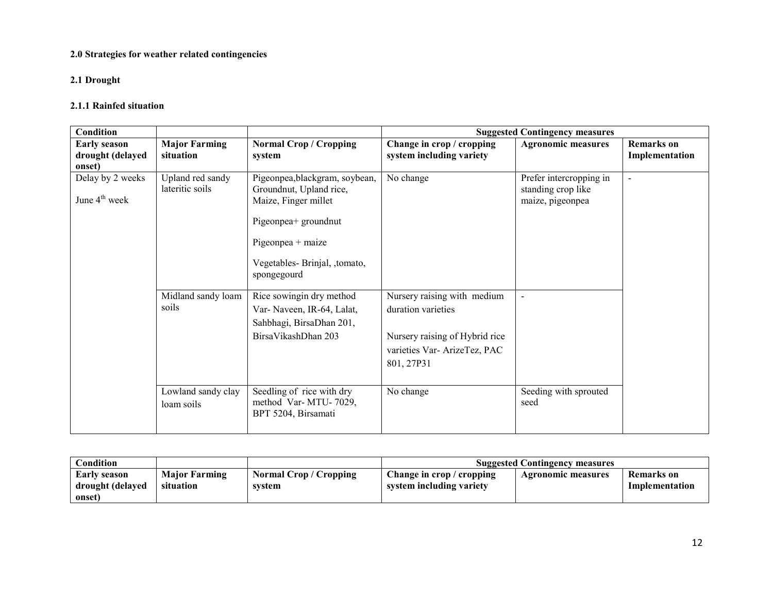# 2.0 Strategies for weather related contingencies

# 2.1 Drought

### 2.1.1 Rainfed situation

| <b>Condition</b>                                  |                                     |                                                                                                                                                                                 |                                                                                                                                  | <b>Suggested Contingency measures</b>                             |                                     |
|---------------------------------------------------|-------------------------------------|---------------------------------------------------------------------------------------------------------------------------------------------------------------------------------|----------------------------------------------------------------------------------------------------------------------------------|-------------------------------------------------------------------|-------------------------------------|
| <b>Early season</b><br>drought (delayed<br>onset) | <b>Major Farming</b><br>situation   | <b>Normal Crop / Cropping</b><br>system                                                                                                                                         | Change in crop / cropping<br>system including variety                                                                            | <b>Agronomic measures</b>                                         | <b>Remarks</b> on<br>Implementation |
| Delay by 2 weeks<br>June 4 <sup>th</sup> week     | Upland red sandy<br>lateritic soils | Pigeonpea, blackgram, soybean,<br>Groundnut, Upland rice,<br>Maize, Finger millet<br>Pigeonpea+ groundnut<br>$Pigeonpea + maize$<br>Vegetables-Brinjal, ,tomato,<br>spongegourd | No change                                                                                                                        | Prefer intercropping in<br>standing crop like<br>maize, pigeonpea | $\blacksquare$                      |
|                                                   | Midland sandy loam<br>soils         | Rice sowingin dry method<br>Var-Naveen, IR-64, Lalat,<br>Sahbhagi, BirsaDhan 201,<br>BirsaVikashDhan 203                                                                        | Nursery raising with medium<br>duration varieties<br>Nursery raising of Hybrid rice<br>varieties Var-ArizeTez, PAC<br>801, 27P31 |                                                                   |                                     |
|                                                   | Lowland sandy clay<br>loam soils    | Seedling of rice with dry<br>method Var-MTU-7029,<br>BPT 5204, Birsamati                                                                                                        | No change                                                                                                                        | Seeding with sprouted<br>seed                                     |                                     |

| $\complement$ ondition                            |                                   |                                  | <b>Suggested Contingency measures</b>                 |                    |                              |  |
|---------------------------------------------------|-----------------------------------|----------------------------------|-------------------------------------------------------|--------------------|------------------------------|--|
| <b>Early season</b><br>drought (delayed<br>onset) | <b>Major Farming</b><br>situation | Normal Crop / Cropping<br>svstem | Change in crop / cropping<br>system including variety | Agronomic measures | Remarks on<br>Implementation |  |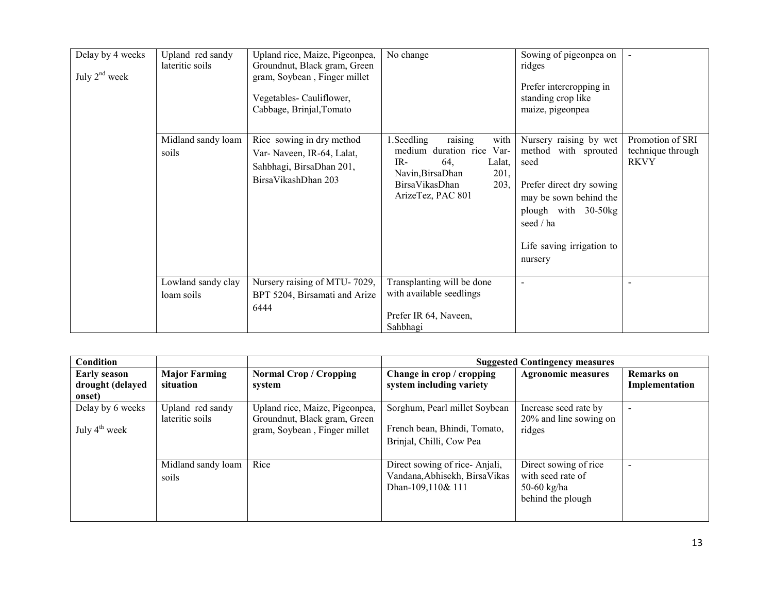| Delay by 4 weeks<br>July $2nd$ week | Upland red sandy<br>lateritic soils<br>Midland sandy loam | Upland rice, Maize, Pigeonpea,<br>Groundnut, Black gram, Green<br>gram, Soybean, Finger millet<br>Vegetables-Cauliflower,<br>Cabbage, Brinjal, Tomato<br>Rice sowing in dry method | No change<br>raising<br>1. Seedling<br>with                                                                                   | Sowing of pigeonpea on<br>ridges<br>Prefer intercropping in<br>standing crop like<br>maize, pigeonpea<br>Nursery raising by wet                                | Promotion of SRI                 |
|-------------------------------------|-----------------------------------------------------------|------------------------------------------------------------------------------------------------------------------------------------------------------------------------------------|-------------------------------------------------------------------------------------------------------------------------------|----------------------------------------------------------------------------------------------------------------------------------------------------------------|----------------------------------|
|                                     | soils                                                     | Var-Naveen, IR-64, Lalat,<br>Sahbhagi, BirsaDhan 201,<br>BirsaVikashDhan 203                                                                                                       | medium duration rice Var-<br>IR-<br>64.<br>Lalat,<br>201,<br>Navin, Birsa Dhan<br>BirsaVikasDhan<br>203,<br>ArizeTez, PAC 801 | method with sprouted<br>seed<br>Prefer direct dry sowing<br>may be sown behind the<br>plough with 30-50kg<br>seed / ha<br>Life saving irrigation to<br>nursery | technique through<br><b>RKVY</b> |
|                                     | Lowland sandy clay<br>loam soils                          | Nursery raising of MTU-7029,<br>BPT 5204, Birsamati and Arize<br>6444                                                                                                              | Transplanting will be done<br>with available seedlings<br>Prefer IR 64, Naveen,<br>Sahbhagi                                   |                                                                                                                                                                |                                  |

| Condition                 |                      |                                |                                | <b>Suggested Contingency measures</b> |                          |
|---------------------------|----------------------|--------------------------------|--------------------------------|---------------------------------------|--------------------------|
| <b>Early season</b>       | <b>Major Farming</b> | <b>Normal Crop / Cropping</b>  | Change in crop / cropping      | <b>Agronomic measures</b>             | <b>Remarks</b> on        |
| drought (delayed          | situation            | system                         | system including variety       |                                       | Implementation           |
| onset)                    |                      |                                |                                |                                       |                          |
| Delay by 6 weeks          | Upland red sandy     | Upland rice, Maize, Pigeonpea, | Sorghum, Pearl millet Soybean  | Increase seed rate by                 | $\overline{\phantom{a}}$ |
|                           | lateritic soils      | Groundnut, Black gram, Green   |                                | 20% and line sowing on                |                          |
| July $4^{\text{th}}$ week |                      | gram, Soybean, Finger millet   | French bean, Bhindi, Tomato,   | ridges                                |                          |
|                           |                      |                                | Brinjal, Chilli, Cow Pea       |                                       |                          |
|                           |                      |                                |                                |                                       |                          |
|                           | Midland sandy loam   | Rice                           | Direct sowing of rice-Anjali,  | Direct sowing of rice                 | $\overline{\phantom{a}}$ |
|                           | soils                |                                | Vandana, Abhisekh, Birsa Vikas | with seed rate of                     |                          |
|                           |                      |                                | Dhan-109,110& 111              | 50-60 kg/ha                           |                          |
|                           |                      |                                |                                | behind the plough                     |                          |
|                           |                      |                                |                                |                                       |                          |
|                           |                      |                                |                                |                                       |                          |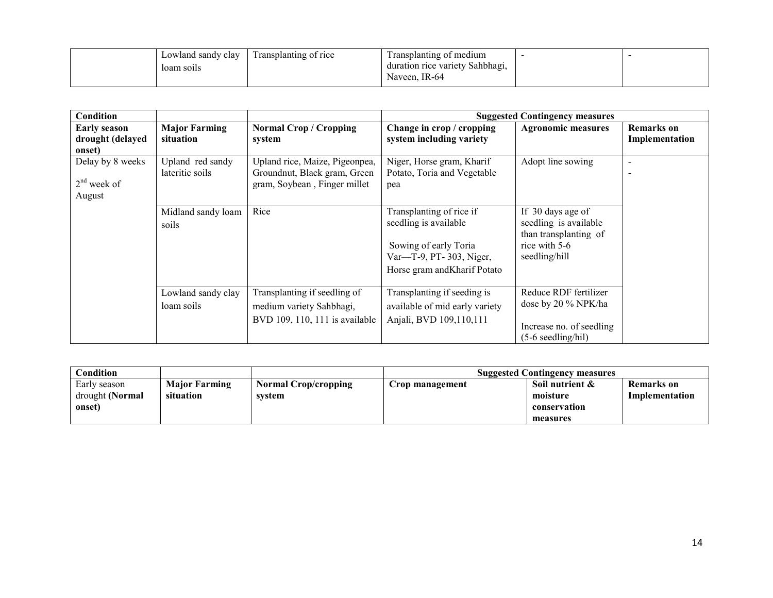| Lowland sandy clay | I ransplanting of rice | Transplanting of medium         |  |
|--------------------|------------------------|---------------------------------|--|
| loam soils         |                        | duration rice variety Sahbhagi, |  |
|                    |                        | Naveen, IR-64                   |  |

| Condition                                         |                                     |                                                                                                |                                                                                                                                       | <b>Suggested Contingency measures</b>                                                                 |                                     |
|---------------------------------------------------|-------------------------------------|------------------------------------------------------------------------------------------------|---------------------------------------------------------------------------------------------------------------------------------------|-------------------------------------------------------------------------------------------------------|-------------------------------------|
| <b>Early season</b><br>drought (delayed<br>onset) | <b>Major Farming</b><br>situation   | <b>Normal Crop / Cropping</b><br>system                                                        | Change in crop / cropping<br>system including variety                                                                                 | <b>Agronomic measures</b>                                                                             | <b>Remarks</b> on<br>Implementation |
| Delay by 8 weeks<br>$2nd$ week of<br>August       | Upland red sandy<br>lateritic soils | Upland rice, Maize, Pigeonpea,<br>Groundnut, Black gram, Green<br>gram, Soybean, Finger millet | Niger, Horse gram, Kharif<br>Potato, Toria and Vegetable<br>pea                                                                       | Adopt line sowing                                                                                     | $\overline{\phantom{a}}$            |
|                                                   | Midland sandy loam<br>soils         | Rice                                                                                           | Transplanting of rice if<br>seedling is available<br>Sowing of early Toria<br>Var—T-9, PT-303, Niger,<br>Horse gram and Kharif Potato | If 30 days age of<br>seedling is available<br>than transplanting of<br>rice with 5-6<br>seedling/hill |                                     |
|                                                   | Lowland sandy clay<br>loam soils    | Transplanting if seedling of<br>medium variety Sahbhagi,<br>BVD 109, 110, 111 is available     | Transplanting if seeding is<br>available of mid early variety<br>Anjali, BVD 109,110,111                                              | Reduce RDF fertilizer<br>dose by 20 % NPK/ha<br>Increase no. of seedling<br>$(5-6$ seedling/hil)      |                                     |

| $\mathbf$ Condition                       |                                   |                                       |                 | <b>Suggested Contingency measures</b>                   |                              |
|-------------------------------------------|-----------------------------------|---------------------------------------|-----------------|---------------------------------------------------------|------------------------------|
| Early season<br>drought (Normal<br>onset) | <b>Major Farming</b><br>situation | <b>Normal Crop/cropping</b><br>system | Crop management | Soil nutrient &<br>moisture<br>conservation<br>measures | Remarks on<br>Implementation |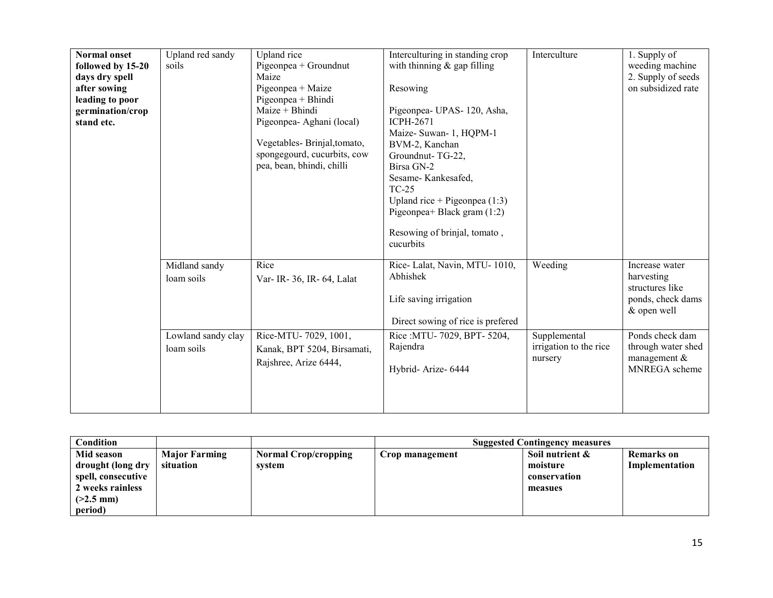| <b>Normal onset</b><br>followed by 15-20<br>days dry spell<br>after sowing<br>leading to poor<br>germination/crop<br>stand etc. | Upland red sandy<br>soils                                       | Upland rice<br>Pigeonpea + Groundnut<br>Maize<br>Pigeonpea + Maize<br>Pigeonpea + Bhindi<br>Maize + Bhindi<br>Pigeonpea- Aghani (local)<br>Vegetables-Brinjal, tomato,<br>spongegourd, cucurbits, cow<br>pea, bean, bhindi, chilli | Interculturing in standing crop<br>with thinning $&$ gap filling<br>Resowing<br>Pigeonpea- UPAS-120, Asha,<br><b>ICPH-2671</b><br>Maize- Suwan- 1, HQPM-1<br>BVM-2, Kanchan<br>Groundnut-TG-22,<br>Birsa GN-2<br>Sesame-Kankesafed,<br>TC-25<br>Upland rice + Pigeonpea $(1:3)$<br>Pigeonpea+ Black gram $(1:2)$<br>Resowing of brinjal, tomato,<br>cucurbits | Interculture                                      | 1. Supply of<br>weeding machine<br>2. Supply of seeds<br>on subsidized rate                                                                    |
|---------------------------------------------------------------------------------------------------------------------------------|-----------------------------------------------------------------|------------------------------------------------------------------------------------------------------------------------------------------------------------------------------------------------------------------------------------|---------------------------------------------------------------------------------------------------------------------------------------------------------------------------------------------------------------------------------------------------------------------------------------------------------------------------------------------------------------|---------------------------------------------------|------------------------------------------------------------------------------------------------------------------------------------------------|
|                                                                                                                                 | Midland sandy<br>loam soils<br>Lowland sandy clay<br>loam soils | Rice<br>Var- IR- 36, IR- 64, Lalat<br>Rice-MTU-7029, 1001,<br>Kanak, BPT 5204, Birsamati,                                                                                                                                          | Rice-Lalat, Navin, MTU-1010,<br>Abhishek<br>Life saving irrigation<br>Direct sowing of rice is prefered<br>Rice: MTU-7029, BPT-5204,<br>Rajendra                                                                                                                                                                                                              | Weeding<br>Supplemental<br>irrigation to the rice | Increase water<br>harvesting<br>structures like<br>ponds, check dams<br>& open well<br>Ponds check dam<br>through water shed<br>management $&$ |
|                                                                                                                                 |                                                                 | Rajshree, Arize 6444,                                                                                                                                                                                                              | Hybrid-Arize-6444                                                                                                                                                                                                                                                                                                                                             | nursery                                           | MNREGA scheme                                                                                                                                  |

| Condition          |                      |                             |                 | <b>Suggested Contingency measures</b> |                |
|--------------------|----------------------|-----------------------------|-----------------|---------------------------------------|----------------|
| Mid season         | <b>Major Farming</b> | <b>Normal Crop/cropping</b> | Crop management | Soil nutrient &                       | Remarks on     |
| drought (long dry  | situation            | system                      |                 | moisture                              | Implementation |
| spell, consecutive |                      |                             |                 | conservation                          |                |
| 2 weeks rainless   |                      |                             |                 | measues                               |                |
| $(2.5 \text{ mm})$ |                      |                             |                 |                                       |                |
| period)            |                      |                             |                 |                                       |                |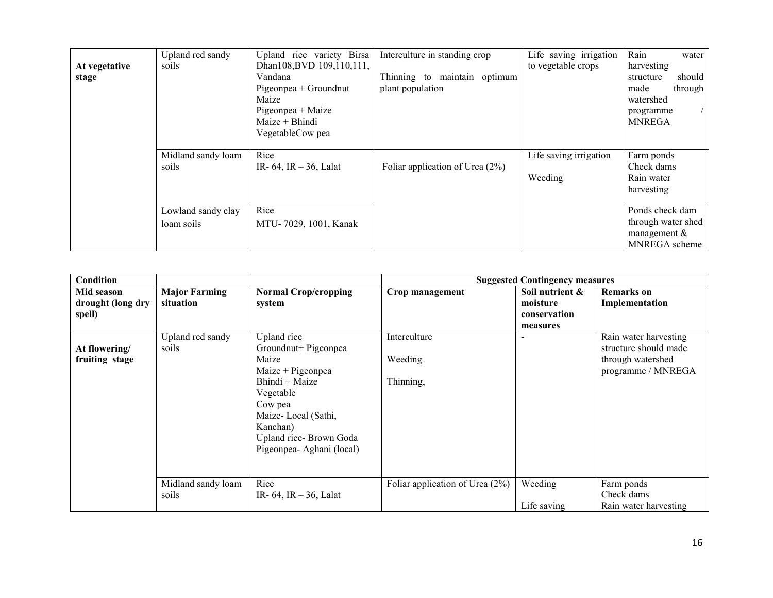| At vegetative<br>stage | Upland red sandy<br>soils                                       | Upland rice variety Birsa<br>Dhan108, BVD 109, 110, 111,<br>Vandana<br>Pigeonpea + Groundnut<br>Maize<br>Pigeonpea + Maize<br>Maize + Bhindi<br>VegetableCow pea | Interculture in standing crop<br>Thinning to maintain optimum<br>plant population | Life saving irrigation<br>to vegetable crops | Rain<br>water<br>harvesting<br>should<br>structure<br>through<br>made<br>watershed<br>programme<br><b>MNREGA</b>                  |
|------------------------|-----------------------------------------------------------------|------------------------------------------------------------------------------------------------------------------------------------------------------------------|-----------------------------------------------------------------------------------|----------------------------------------------|-----------------------------------------------------------------------------------------------------------------------------------|
|                        | Midland sandy loam<br>soils<br>Lowland sandy clay<br>loam soils | Rice<br>IR- 64, IR $-36$ , Lalat<br>Rice<br>MTU-7029, 1001, Kanak                                                                                                | Foliar application of Urea $(2\%)$                                                | Life saving irrigation<br>Weeding            | Farm ponds<br>Check dams<br>Rain water<br>harvesting<br>Ponds check dam<br>through water shed<br>management $\&$<br>MNREGA scheme |

| Condition         |                      |                              |                                    | <b>Suggested Contingency measures</b> |                       |
|-------------------|----------------------|------------------------------|------------------------------------|---------------------------------------|-----------------------|
| Mid season        | <b>Major Farming</b> | <b>Normal Crop/cropping</b>  | Crop management                    | Soil nutrient &                       | <b>Remarks</b> on     |
| drought (long dry | situation            | system                       |                                    | moisture                              | Implementation        |
| spell)            |                      |                              |                                    | conservation                          |                       |
|                   |                      |                              |                                    | measures                              |                       |
|                   | Upland red sandy     | Upland rice                  | Interculture                       |                                       | Rain water harvesting |
| At flowering/     | soils                | Groundnut+ Pigeonpea         |                                    |                                       | structure should made |
| fruiting stage    |                      | Maize                        | Weeding                            |                                       | through watershed     |
|                   |                      | $Maize + Pigeonpea$          |                                    |                                       | programme / MNREGA    |
|                   |                      | Bhindi + Maize               | Thinning,                          |                                       |                       |
|                   |                      | Vegetable                    |                                    |                                       |                       |
|                   |                      | Cow pea                      |                                    |                                       |                       |
|                   |                      | Maize-Local (Sathi,          |                                    |                                       |                       |
|                   |                      | Kanchan)                     |                                    |                                       |                       |
|                   |                      | Upland rice-Brown Goda       |                                    |                                       |                       |
|                   |                      | Pigeonpea-Aghani (local)     |                                    |                                       |                       |
|                   |                      |                              |                                    |                                       |                       |
|                   |                      |                              |                                    |                                       |                       |
|                   | Midland sandy loam   | Rice                         | Foliar application of Urea $(2\%)$ | Weeding                               | Farm ponds            |
|                   | soils                | IR- $64$ , IR $- 36$ , Lalat |                                    |                                       | Check dams            |
|                   |                      |                              |                                    | Life saving                           | Rain water harvesting |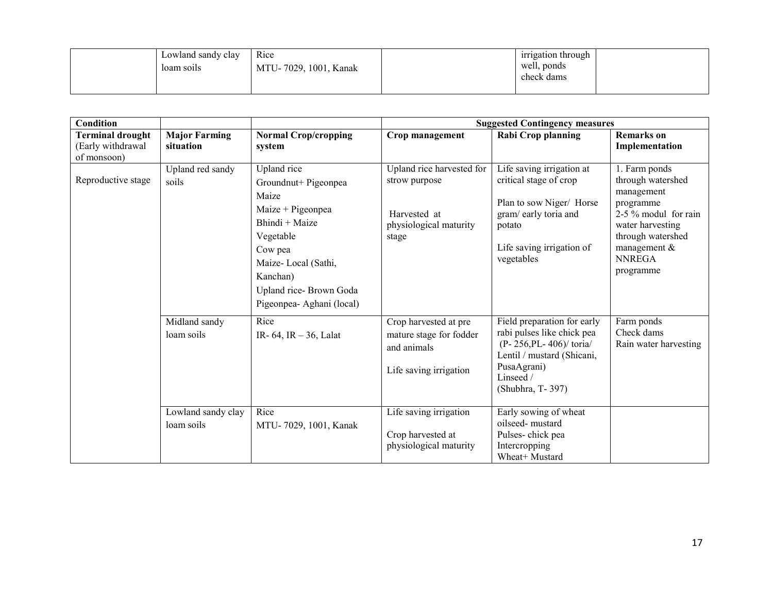|  | Lowland sandy clay<br>loam soils | Rice<br>MTU-7029, 1001, Kanak | irrigation through<br>well, ponds<br>check dams |  |
|--|----------------------------------|-------------------------------|-------------------------------------------------|--|
|  |                                  |                               |                                                 |  |

| <b>Condition</b>                                            |                                   |                                                                                                                                                                                                       |                                                                                               | <b>Suggested Contingency measures</b>                                                                                                                                           |                                                                                                                                                                                |
|-------------------------------------------------------------|-----------------------------------|-------------------------------------------------------------------------------------------------------------------------------------------------------------------------------------------------------|-----------------------------------------------------------------------------------------------|---------------------------------------------------------------------------------------------------------------------------------------------------------------------------------|--------------------------------------------------------------------------------------------------------------------------------------------------------------------------------|
| <b>Terminal drought</b><br>(Early withdrawal<br>of monsoon) | <b>Major Farming</b><br>situation | <b>Normal Crop/cropping</b><br>system                                                                                                                                                                 | Crop management                                                                               | <b>Rabi Crop planning</b>                                                                                                                                                       | <b>Remarks</b> on<br>Implementation                                                                                                                                            |
| Reproductive stage                                          | Upland red sandy<br>soils         | Upland rice<br>Groundnut+ Pigeonpea<br>Maize<br>Maize + Pigeonpea<br>Bhindi + Maize<br>Vegetable<br>Cow pea<br>Maize-Local (Sathi,<br>Kanchan)<br>Upland rice-Brown Goda<br>Pigeonpea- Aghani (local) | Upland rice harvested for<br>strow purpose<br>Harvested at<br>physiological maturity<br>stage | Life saving irrigation at<br>critical stage of crop<br>Plan to sow Niger/ Horse<br>gram/early toria and<br>potato<br>Life saving irrigation of<br>vegetables                    | 1. Farm ponds<br>through watershed<br>management<br>programme<br>2-5 % modul for rain<br>water harvesting<br>through watershed<br>management $&$<br><b>NNREGA</b><br>programme |
|                                                             | Midland sandy<br>loam soils       | Rice<br>IR- 64, IR $-36$ , Lalat                                                                                                                                                                      | Crop harvested at pre<br>mature stage for fodder<br>and animals<br>Life saving irrigation     | Field preparation for early<br>rabi pulses like chick pea<br>$(P - 256, PL - 406) / \text{toria}$<br>Lentil / mustard (Shicani,<br>PusaAgrani)<br>Linseed /<br>(Shubhra, T-397) | Farm ponds<br>Check dams<br>Rain water harvesting                                                                                                                              |
|                                                             | Lowland sandy clay<br>loam soils  | Rice<br>MTU-7029, 1001, Kanak                                                                                                                                                                         | Life saving irrigation<br>Crop harvested at<br>physiological maturity                         | Early sowing of wheat<br>oilseed-mustard<br>Pulses-chick pea<br>Intercropping<br>Wheat+ Mustard                                                                                 |                                                                                                                                                                                |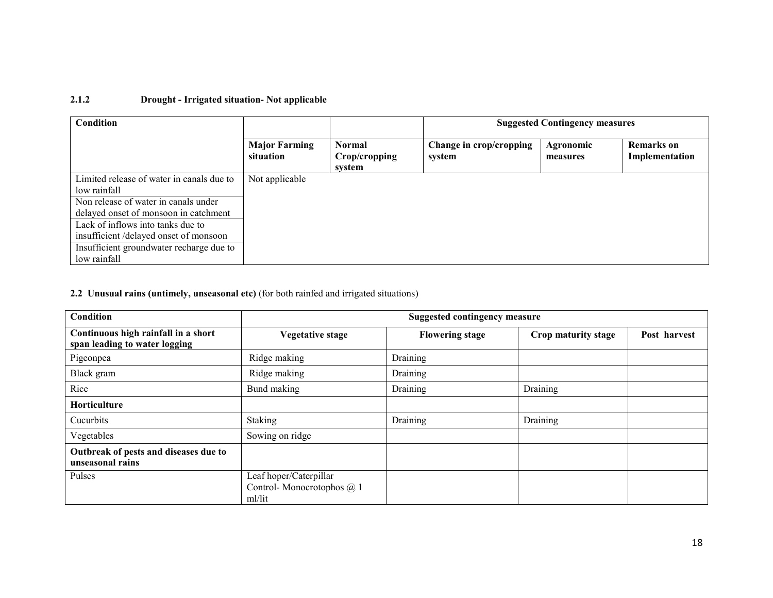#### 2.1.2 Drought - Irrigated situation- Not applicable

| Condition                                 |                                   |                                          | <b>Suggested Contingency measures</b> |                       |                                     |
|-------------------------------------------|-----------------------------------|------------------------------------------|---------------------------------------|-----------------------|-------------------------------------|
|                                           | <b>Major Farming</b><br>situation | <b>Normal</b><br>Crop/cropping<br>system | Change in crop/cropping<br>system     | Agronomic<br>measures | <b>Remarks</b> on<br>Implementation |
| Limited release of water in canals due to | Not applicable                    |                                          |                                       |                       |                                     |
| low rainfall                              |                                   |                                          |                                       |                       |                                     |
| Non release of water in canals under      |                                   |                                          |                                       |                       |                                     |
| delayed onset of monsoon in catchment     |                                   |                                          |                                       |                       |                                     |
| Lack of inflows into tanks due to         |                                   |                                          |                                       |                       |                                     |
| insufficient/delayed onset of monsoon     |                                   |                                          |                                       |                       |                                     |
| Insufficient groundwater recharge due to  |                                   |                                          |                                       |                       |                                     |
| low rainfall                              |                                   |                                          |                                       |                       |                                     |

#### 2.2 Unusual rains (untimely, unseasonal etc) (for both rainfed and irrigated situations)

| Condition                                                            | <b>Suggested contingency measure</b>                          |                        |                     |              |  |  |
|----------------------------------------------------------------------|---------------------------------------------------------------|------------------------|---------------------|--------------|--|--|
| Continuous high rainfall in a short<br>span leading to water logging | <b>Vegetative stage</b>                                       | <b>Flowering stage</b> | Crop maturity stage | Post harvest |  |  |
| Pigeonpea                                                            | Ridge making                                                  | Draining               |                     |              |  |  |
| Black gram                                                           | Ridge making                                                  | Draining               |                     |              |  |  |
| Rice                                                                 | Bund making                                                   | Draining               | Draining            |              |  |  |
| Horticulture                                                         |                                                               |                        |                     |              |  |  |
| Cucurbits                                                            | Staking                                                       | Draining               | Draining            |              |  |  |
| Vegetables                                                           | Sowing on ridge                                               |                        |                     |              |  |  |
| Outbreak of pests and diseases due to<br>unseasonal rains            |                                                               |                        |                     |              |  |  |
| Pulses                                                               | Leaf hoper/Caterpillar<br>Control-Monocrotophos @ 1<br>ml/lit |                        |                     |              |  |  |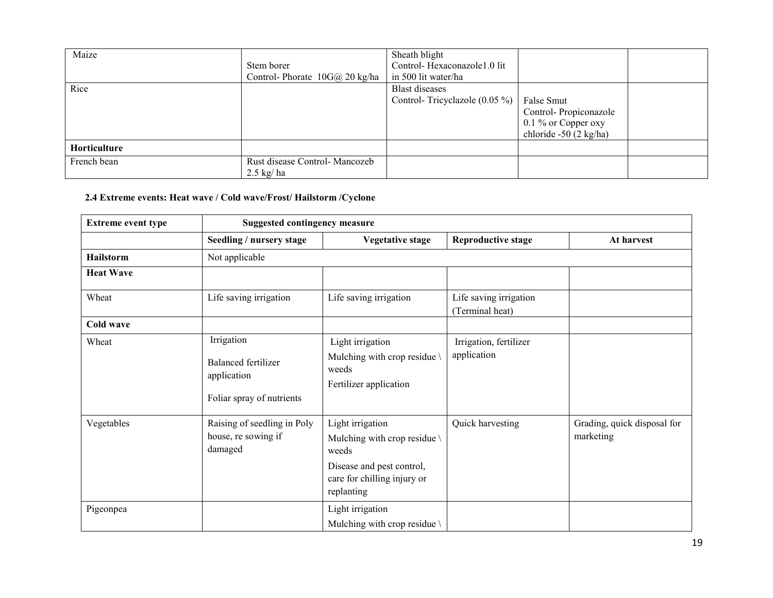| Maize        | Stem borer<br>Control-Phorate 10G@ 20 kg/ha          | Sheath blight<br>Control-Hexaconazole1.0 lit<br>in 500 lit water/ha |                                                                                          |  |
|--------------|------------------------------------------------------|---------------------------------------------------------------------|------------------------------------------------------------------------------------------|--|
| Rice         |                                                      | <b>Blast diseases</b><br>Control-Tricyclazole $(0.05\%)$            | False Smut<br>Control-Propiconazole<br>$0.1\%$ or Copper oxy<br>chloride $-50$ (2 kg/ha) |  |
| Horticulture |                                                      |                                                                     |                                                                                          |  |
| French bean  | Rust disease Control-Mancozeb<br>$2.5 \text{ kg/ha}$ |                                                                     |                                                                                          |  |

# 2.4 Extreme events: Heat wave / Cold wave/Frost/ Hailstorm /Cyclone

| <b>Extreme event type</b> | <b>Suggested contingency measure</b>                                          |                                                                                                                                               |                                           |                                          |  |  |  |
|---------------------------|-------------------------------------------------------------------------------|-----------------------------------------------------------------------------------------------------------------------------------------------|-------------------------------------------|------------------------------------------|--|--|--|
|                           | Seedling / nursery stage                                                      | <b>Vegetative stage</b>                                                                                                                       | <b>Reproductive stage</b>                 | At harvest                               |  |  |  |
| <b>Hailstorm</b>          | Not applicable                                                                |                                                                                                                                               |                                           |                                          |  |  |  |
| <b>Heat Wave</b>          |                                                                               |                                                                                                                                               |                                           |                                          |  |  |  |
| Wheat                     | Life saving irrigation                                                        | Life saving irrigation                                                                                                                        | Life saving irrigation<br>(Terminal heat) |                                          |  |  |  |
| Cold wave                 |                                                                               |                                                                                                                                               |                                           |                                          |  |  |  |
| Wheat                     | Irrigation<br>Balanced fertilizer<br>application<br>Foliar spray of nutrients | Light irrigation<br>Mulching with crop residue<br>weeds<br>Fertilizer application                                                             | Irrigation, fertilizer<br>application     |                                          |  |  |  |
| Vegetables                | Raising of seedling in Poly<br>house, re sowing if<br>damaged                 | Light irrigation<br>Mulching with crop residue $\setminus$<br>weeds<br>Disease and pest control,<br>care for chilling injury or<br>replanting | Quick harvesting                          | Grading, quick disposal for<br>marketing |  |  |  |
| Pigeonpea                 |                                                                               | Light irrigation<br>Mulching with crop residue \                                                                                              |                                           |                                          |  |  |  |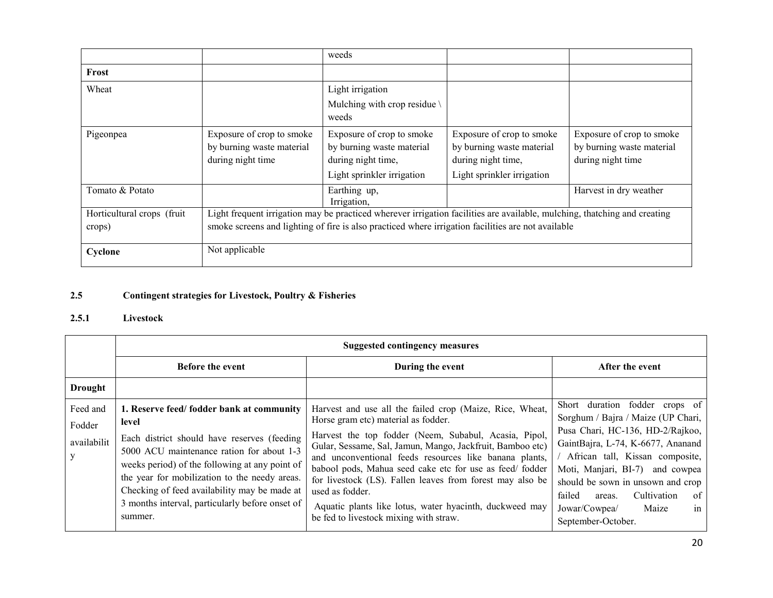|                            |                                                                                                    | weeds                                                                                                                     |                                                                                                            |                                                                             |  |
|----------------------------|----------------------------------------------------------------------------------------------------|---------------------------------------------------------------------------------------------------------------------------|------------------------------------------------------------------------------------------------------------|-----------------------------------------------------------------------------|--|
| Frost                      |                                                                                                    |                                                                                                                           |                                                                                                            |                                                                             |  |
| Wheat                      |                                                                                                    | Light irrigation<br>Mulching with crop residue<br>weeds                                                                   |                                                                                                            |                                                                             |  |
| Pigeonpea                  | Exposure of crop to smoke<br>by burning waste material<br>during night time                        | Exposure of crop to smoke<br>by burning waste material<br>during night time,<br>Light sprinkler irrigation                | Exposure of crop to smoke<br>by burning waste material<br>during night time,<br>Light sprinkler irrigation | Exposure of crop to smoke<br>by burning waste material<br>during night time |  |
| Tomato & Potato            |                                                                                                    | Earthing up,<br>Irrigation,                                                                                               |                                                                                                            | Harvest in dry weather                                                      |  |
| Horticultural crops (fruit |                                                                                                    | Light frequent irrigation may be practiced wherever irrigation facilities are available, mulching, thatching and creating |                                                                                                            |                                                                             |  |
| crops)                     | smoke screens and lighting of fire is also practiced where irrigation facilities are not available |                                                                                                                           |                                                                                                            |                                                                             |  |
| Cyclone                    | Not applicable                                                                                     |                                                                                                                           |                                                                                                            |                                                                             |  |

#### 2.5Contingent strategies for Livestock, Poultry & Fisheries

# 2.5.1 Livestock

|                                   | <b>Suggested contingency measures</b>                                                                                                                                                                                                                                                                                                                          |                                                                                                                                                                                                                                                                                                                                                                                                                                                                                                                                 |                                                                                                                                                                                                                                                                                                                                                         |  |  |  |
|-----------------------------------|----------------------------------------------------------------------------------------------------------------------------------------------------------------------------------------------------------------------------------------------------------------------------------------------------------------------------------------------------------------|---------------------------------------------------------------------------------------------------------------------------------------------------------------------------------------------------------------------------------------------------------------------------------------------------------------------------------------------------------------------------------------------------------------------------------------------------------------------------------------------------------------------------------|---------------------------------------------------------------------------------------------------------------------------------------------------------------------------------------------------------------------------------------------------------------------------------------------------------------------------------------------------------|--|--|--|
|                                   | <b>Before the event</b>                                                                                                                                                                                                                                                                                                                                        | During the event                                                                                                                                                                                                                                                                                                                                                                                                                                                                                                                | After the event                                                                                                                                                                                                                                                                                                                                         |  |  |  |
| <b>Drought</b>                    |                                                                                                                                                                                                                                                                                                                                                                |                                                                                                                                                                                                                                                                                                                                                                                                                                                                                                                                 |                                                                                                                                                                                                                                                                                                                                                         |  |  |  |
| Feed and<br>Fodder<br>availabilit | 1. Reserve feed/fodder bank at community<br>level<br>Each district should have reserves (feeding<br>5000 ACU maintenance ration for about 1-3<br>weeks period) of the following at any point of<br>the year for mobilization to the needy areas.<br>Checking of feed availability may be made at<br>3 months interval, particularly before onset of<br>summer. | Harvest and use all the failed crop (Maize, Rice, Wheat,<br>Horse gram etc) material as fodder.<br>Harvest the top fodder (Neem, Subabul, Acasia, Pipol,<br>Gular, Sessame, Sal, Jamun, Mango, Jackfruit, Bamboo etc)<br>and unconventional feeds resources like banana plants,<br>babool pods, Mahua seed cake etc for use as feed/fodder<br>for livestock (LS). Fallen leaves from forest may also be<br>used as fodder.<br>Aquatic plants like lotus, water hyacinth, duckweed may<br>be fed to livestock mixing with straw. | Short duration fodder crops of<br>Sorghum / Bajra / Maize (UP Chari,<br>Pusa Chari, HC-136, HD-2/Rajkoo,<br>GaintBajra, L-74, K-6677, Ananand<br>African tall, Kissan composite,<br>Moti, Manjari, BI-7) and cowpea<br>should be sown in unsown and crop<br>Cultivation<br>failed<br>of<br>areas.<br>Jowar/Cowpea/<br>Maize<br>in<br>September-October. |  |  |  |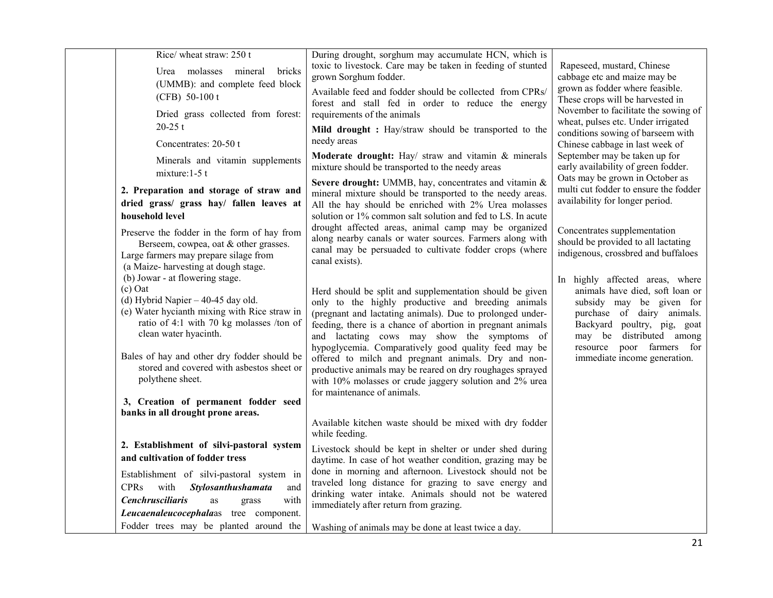| Rice/ wheat straw: 250 t<br>Urea molasses mineral<br>bricks<br>(UMMB): and complete feed block<br>(CFB) 50-100 t<br>Dried grass collected from forest:<br>$20-25$ t<br>Concentrates: 20-50 t<br>Minerals and vitamin supplements<br>mixture: $1-5$ t                                                                                                                                                                                                                                                                                     | During drought, sorghum may accumulate HCN, which is<br>toxic to livestock. Care may be taken in feeding of stunted<br>grown Sorghum fodder.<br>Available feed and fodder should be collected from CPRs/<br>forest and stall fed in order to reduce the energy<br>requirements of the animals<br>Mild drought: Hay/straw should be transported to the<br>needy areas<br>Moderate drought: Hay/ straw and vitamin & minerals<br>mixture should be transported to the needy areas                                                                                                                                                                                                                                                                                 | Rapeseed, mustard, Chinese<br>cabbage etc and maize may be<br>grown as fodder where feasible.<br>These crops will be harvested in<br>November to facilitate the sowing of<br>wheat, pulses etc. Under irrigated<br>conditions sowing of barseem with<br>Chinese cabbage in last week of<br>September may be taken up for<br>early availability of green fodder.<br>Oats may be grown in October as |
|------------------------------------------------------------------------------------------------------------------------------------------------------------------------------------------------------------------------------------------------------------------------------------------------------------------------------------------------------------------------------------------------------------------------------------------------------------------------------------------------------------------------------------------|-----------------------------------------------------------------------------------------------------------------------------------------------------------------------------------------------------------------------------------------------------------------------------------------------------------------------------------------------------------------------------------------------------------------------------------------------------------------------------------------------------------------------------------------------------------------------------------------------------------------------------------------------------------------------------------------------------------------------------------------------------------------|----------------------------------------------------------------------------------------------------------------------------------------------------------------------------------------------------------------------------------------------------------------------------------------------------------------------------------------------------------------------------------------------------|
| 2. Preparation and storage of straw and<br>dried grass/ grass hay/ fallen leaves at<br>household level                                                                                                                                                                                                                                                                                                                                                                                                                                   | Severe drought: UMMB, hay, concentrates and vitamin &<br>mineral mixture should be transported to the needy areas.<br>All the hay should be enriched with 2% Urea molasses<br>solution or 1% common salt solution and fed to LS. In acute                                                                                                                                                                                                                                                                                                                                                                                                                                                                                                                       | multi cut fodder to ensure the fodder<br>availability for longer period.                                                                                                                                                                                                                                                                                                                           |
| Preserve the fodder in the form of hay from<br>Berseem, cowpea, oat & other grasses.<br>Large farmers may prepare silage from<br>(a Maize-harvesting at dough stage.<br>(b) Jowar - at flowering stage.<br>$(c)$ Oat<br>(d) Hybrid Napier $-40-45$ day old.<br>(e) Water hycianth mixing with Rice straw in<br>ratio of 4:1 with 70 kg molasses /ton of<br>clean water hyacinth.<br>Bales of hay and other dry fodder should be<br>stored and covered with asbestos sheet or<br>polythene sheet.<br>3, Creation of permanent fodder seed | drought affected areas, animal camp may be organized<br>along nearby canals or water sources. Farmers along with<br>canal may be persuaded to cultivate fodder crops (where<br>canal exists).<br>Herd should be split and supplementation should be given<br>only to the highly productive and breeding animals<br>(pregnant and lactating animals). Due to prolonged under-<br>feeding, there is a chance of abortion in pregnant animals<br>and lactating cows may show the symptoms of<br>hypoglycemia. Comparatively good quality feed may be<br>offered to milch and pregnant animals. Dry and non-<br>productive animals may be reared on dry roughages sprayed<br>with 10% molasses or crude jaggery solution and 2% urea<br>for maintenance of animals. | Concentrates supplementation<br>should be provided to all lactating<br>indigenous, crossbred and buffaloes<br>In highly affected areas, where<br>animals have died, soft loan or<br>subsidy may be given for<br>purchase of dairy animals.<br>Backyard poultry, pig, goat<br>may be distributed among<br>resource poor farmers for<br>immediate income generation.                                 |
| banks in all drought prone areas.                                                                                                                                                                                                                                                                                                                                                                                                                                                                                                        | Available kitchen waste should be mixed with dry fodder                                                                                                                                                                                                                                                                                                                                                                                                                                                                                                                                                                                                                                                                                                         |                                                                                                                                                                                                                                                                                                                                                                                                    |
| 2. Establishment of silvi-pastoral system                                                                                                                                                                                                                                                                                                                                                                                                                                                                                                | while feeding.<br>Livestock should be kept in shelter or under shed during                                                                                                                                                                                                                                                                                                                                                                                                                                                                                                                                                                                                                                                                                      |                                                                                                                                                                                                                                                                                                                                                                                                    |
| and cultivation of fodder tress                                                                                                                                                                                                                                                                                                                                                                                                                                                                                                          | daytime. In case of hot weather condition, grazing may be                                                                                                                                                                                                                                                                                                                                                                                                                                                                                                                                                                                                                                                                                                       |                                                                                                                                                                                                                                                                                                                                                                                                    |
| Establishment of silvi-pastoral system in<br><b>CPRs</b><br>with<br><b>Stylosanthushamata</b><br>and<br><b>Cenchrusciliaris</b><br>with<br>as<br>grass                                                                                                                                                                                                                                                                                                                                                                                   | done in morning and afternoon. Livestock should not be<br>traveled long distance for grazing to save energy and<br>drinking water intake. Animals should not be watered<br>immediately after return from grazing.                                                                                                                                                                                                                                                                                                                                                                                                                                                                                                                                               |                                                                                                                                                                                                                                                                                                                                                                                                    |
| Leucaenaleucocephalaas tree component.<br>Fodder trees may be planted around the                                                                                                                                                                                                                                                                                                                                                                                                                                                         | Washing of animals may be done at least twice a day.                                                                                                                                                                                                                                                                                                                                                                                                                                                                                                                                                                                                                                                                                                            |                                                                                                                                                                                                                                                                                                                                                                                                    |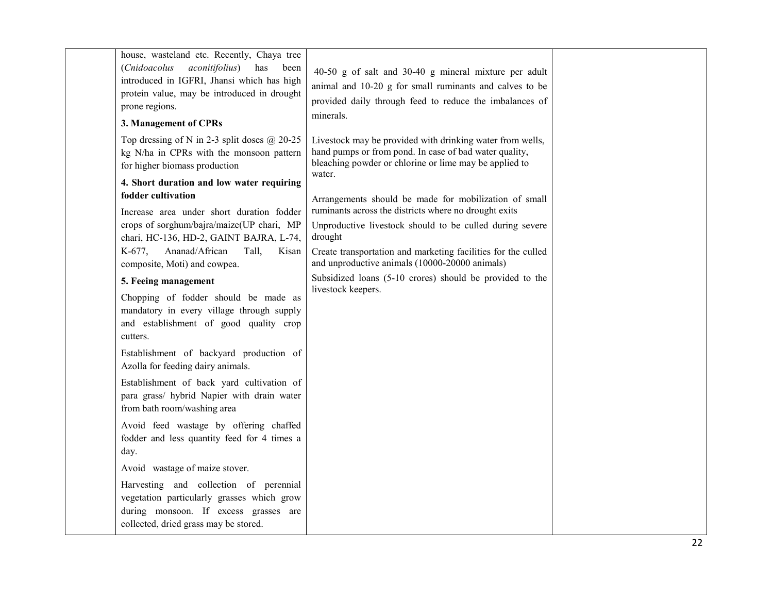| house, wasteland etc. Recently, Chaya tree<br>(Cnidoacolus aconitifolius)<br>has<br>been<br>introduced in IGFRI, Jhansi which has high<br>protein value, may be introduced in drought<br>prone regions.<br>3. Management of CPRs | 40-50 g of salt and 30-40 g mineral mixture per adult<br>animal and 10-20 g for small ruminants and calves to be<br>provided daily through feed to reduce the imbalances of<br>minerals. |  |
|----------------------------------------------------------------------------------------------------------------------------------------------------------------------------------------------------------------------------------|------------------------------------------------------------------------------------------------------------------------------------------------------------------------------------------|--|
| Top dressing of N in 2-3 split doses $@$ 20-25<br>kg N/ha in CPRs with the monsoon pattern<br>for higher biomass production<br>4. Short duration and low water requiring                                                         | Livestock may be provided with drinking water from wells,<br>hand pumps or from pond. In case of bad water quality,<br>bleaching powder or chlorine or lime may be applied to<br>water.  |  |
| fodder cultivation<br>Increase area under short duration fodder<br>crops of sorghum/bajra/maize(UP chari, MP<br>chari, HC-136, HD-2, GAINT BAJRA, L-74,                                                                          | Arrangements should be made for mobilization of small<br>ruminants across the districts where no drought exits<br>Unproductive livestock should to be culled during severe<br>drought    |  |
| Ananad/African<br>Tall,<br>$K-677$ ,<br>Kisan<br>composite, Moti) and cowpea.<br>5. Feeing management                                                                                                                            | Create transportation and marketing facilities for the culled<br>and unproductive animals (10000-20000 animals)<br>Subsidized loans (5-10 crores) should be provided to the              |  |
| Chopping of fodder should be made as<br>mandatory in every village through supply<br>and establishment of good quality crop<br>cutters.                                                                                          | livestock keepers.                                                                                                                                                                       |  |
| Establishment of backyard production of<br>Azolla for feeding dairy animals.                                                                                                                                                     |                                                                                                                                                                                          |  |
| Establishment of back yard cultivation of<br>para grass/ hybrid Napier with drain water<br>from bath room/washing area                                                                                                           |                                                                                                                                                                                          |  |
| Avoid feed wastage by offering chaffed<br>fodder and less quantity feed for 4 times a<br>day.                                                                                                                                    |                                                                                                                                                                                          |  |
| Avoid wastage of maize stover.                                                                                                                                                                                                   |                                                                                                                                                                                          |  |
| Harvesting and collection of perennial<br>vegetation particularly grasses which grow<br>during monsoon. If excess grasses are<br>collected, dried grass may be stored.                                                           |                                                                                                                                                                                          |  |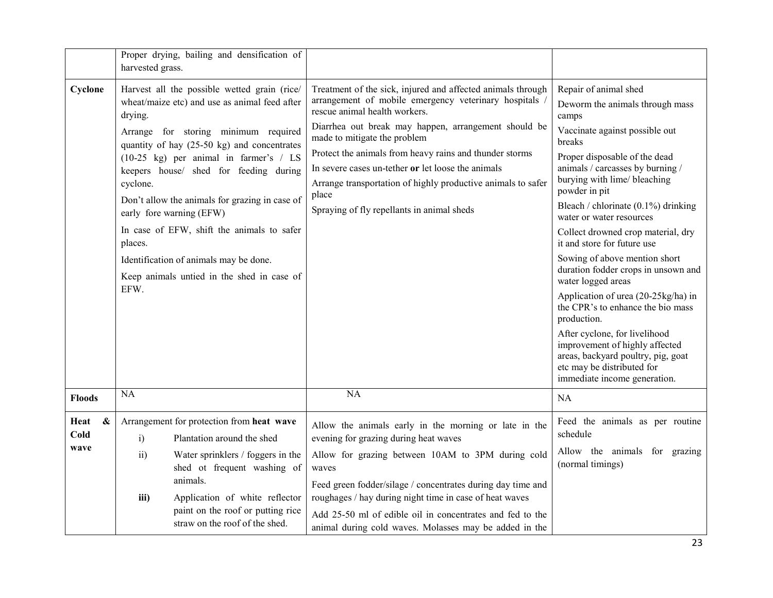|                                           | Proper drying, bailing and densification of<br>harvested grass.                                                                                                                                                                                                                                                                                                                                                                                                                                                                                  |                                                                                                                                                                                                                                                                                                                                                                                                                                                                                      |                                                                                                                                                                                                                                                                                                                                                                                                                                                                                                                                                                                                                                                                                                                                             |
|-------------------------------------------|--------------------------------------------------------------------------------------------------------------------------------------------------------------------------------------------------------------------------------------------------------------------------------------------------------------------------------------------------------------------------------------------------------------------------------------------------------------------------------------------------------------------------------------------------|--------------------------------------------------------------------------------------------------------------------------------------------------------------------------------------------------------------------------------------------------------------------------------------------------------------------------------------------------------------------------------------------------------------------------------------------------------------------------------------|---------------------------------------------------------------------------------------------------------------------------------------------------------------------------------------------------------------------------------------------------------------------------------------------------------------------------------------------------------------------------------------------------------------------------------------------------------------------------------------------------------------------------------------------------------------------------------------------------------------------------------------------------------------------------------------------------------------------------------------------|
| Cyclone                                   | Harvest all the possible wetted grain (rice/<br>wheat/maize etc) and use as animal feed after<br>drying.<br>Arrange for storing minimum required<br>quantity of hay (25-50 kg) and concentrates<br>$(10-25 \text{ kg})$ per animal in farmer's / LS<br>keepers house/ shed for feeding during<br>cyclone.<br>Don't allow the animals for grazing in case of<br>early fore warning (EFW)<br>In case of EFW, shift the animals to safer<br>places.<br>Identification of animals may be done.<br>Keep animals untied in the shed in case of<br>EFW. | Treatment of the sick, injured and affected animals through<br>arrangement of mobile emergency veterinary hospitals<br>rescue animal health workers.<br>Diarrhea out break may happen, arrangement should be<br>made to mitigate the problem<br>Protect the animals from heavy rains and thunder storms<br>In severe cases un-tether or let loose the animals<br>Arrange transportation of highly productive animals to safer<br>place<br>Spraying of fly repellants in animal sheds | Repair of animal shed<br>Deworm the animals through mass<br>camps<br>Vaccinate against possible out<br>breaks<br>Proper disposable of the dead<br>animals / carcasses by burning /<br>burying with lime/ bleaching<br>powder in pit<br>Bleach / chlorinate (0.1%) drinking<br>water or water resources<br>Collect drowned crop material, dry<br>it and store for future use<br>Sowing of above mention short<br>duration fodder crops in unsown and<br>water logged areas<br>Application of urea (20-25kg/ha) in<br>the CPR's to enhance the bio mass<br>production.<br>After cyclone, for livelihood<br>improvement of highly affected<br>areas, backyard poultry, pig, goat<br>etc may be distributed for<br>immediate income generation. |
| <b>Floods</b>                             | NA                                                                                                                                                                                                                                                                                                                                                                                                                                                                                                                                               | $\overline{NA}$                                                                                                                                                                                                                                                                                                                                                                                                                                                                      | <b>NA</b>                                                                                                                                                                                                                                                                                                                                                                                                                                                                                                                                                                                                                                                                                                                                   |
| Heat<br>$\boldsymbol{\&}$<br>Cold<br>wave | Arrangement for protection from heat wave<br>i)<br>Plantation around the shed<br>Water sprinklers / foggers in the<br>$\overline{ii}$<br>shed ot frequent washing of<br>animals.<br>Application of white reflector<br>iii)<br>paint on the roof or putting rice                                                                                                                                                                                                                                                                                  | Allow the animals early in the morning or late in the<br>evening for grazing during heat waves<br>Allow for grazing between 10AM to 3PM during cold<br>waves<br>Feed green fodder/silage / concentrates during day time and<br>roughages / hay during night time in case of heat waves<br>Add 25-50 ml of edible oil in concentrates and fed to the                                                                                                                                  | Feed the animals as per routine<br>schedule<br>Allow the animals for grazing<br>(normal timings)                                                                                                                                                                                                                                                                                                                                                                                                                                                                                                                                                                                                                                            |
|                                           | straw on the roof of the shed.                                                                                                                                                                                                                                                                                                                                                                                                                                                                                                                   | animal during cold waves. Molasses may be added in the                                                                                                                                                                                                                                                                                                                                                                                                                               |                                                                                                                                                                                                                                                                                                                                                                                                                                                                                                                                                                                                                                                                                                                                             |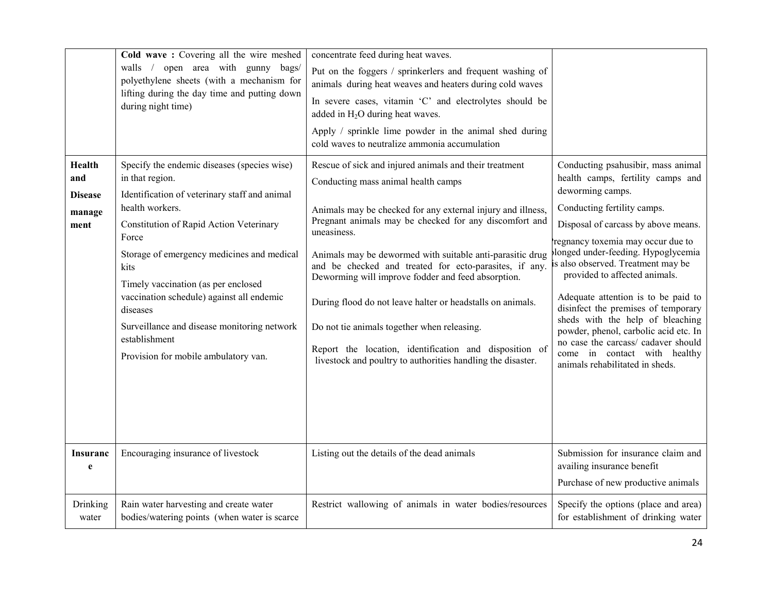|                                                          | Cold wave: Covering all the wire meshed<br>walls / open area with gunny bags/<br>polyethylene sheets (with a mechanism for<br>lifting during the day time and putting down<br>during night time)                                                                                                                                                                                                                                                     | concentrate feed during heat waves.<br>Put on the foggers / sprinkerlers and frequent washing of<br>animals during heat weaves and heaters during cold waves<br>In severe cases, vitamin 'C' and electrolytes should be<br>added in H <sub>2</sub> O during heat waves.<br>Apply / sprinkle lime powder in the animal shed during<br>cold waves to neutralize ammonia accumulation                                                                                                                                                                                                                                                                       |                                                                                                                                                                                                                                                                                                                                                                                                                                                                                                                                                                                          |
|----------------------------------------------------------|------------------------------------------------------------------------------------------------------------------------------------------------------------------------------------------------------------------------------------------------------------------------------------------------------------------------------------------------------------------------------------------------------------------------------------------------------|----------------------------------------------------------------------------------------------------------------------------------------------------------------------------------------------------------------------------------------------------------------------------------------------------------------------------------------------------------------------------------------------------------------------------------------------------------------------------------------------------------------------------------------------------------------------------------------------------------------------------------------------------------|------------------------------------------------------------------------------------------------------------------------------------------------------------------------------------------------------------------------------------------------------------------------------------------------------------------------------------------------------------------------------------------------------------------------------------------------------------------------------------------------------------------------------------------------------------------------------------------|
| <b>Health</b><br>and<br><b>Disease</b><br>manage<br>ment | Specify the endemic diseases (species wise)<br>in that region.<br>Identification of veterinary staff and animal<br>health workers.<br>Constitution of Rapid Action Veterinary<br>Force<br>Storage of emergency medicines and medical<br>kits<br>Timely vaccination (as per enclosed<br>vaccination schedule) against all endemic<br>diseases<br>Surveillance and disease monitoring network<br>establishment<br>Provision for mobile ambulatory van. | Rescue of sick and injured animals and their treatment<br>Conducting mass animal health camps<br>Animals may be checked for any external injury and illness,<br>Pregnant animals may be checked for any discomfort and<br>uneasiness.<br>Animals may be dewormed with suitable anti-parasitic drug<br>and be checked and treated for ecto-parasites, if any.<br>Deworming will improve fodder and feed absorption.<br>During flood do not leave halter or headstalls on animals.<br>Do not tie animals together when releasing.<br>Report the location, identification and disposition of<br>livestock and poultry to authorities handling the disaster. | Conducting psahusibir, mass animal<br>health camps, fertility camps and<br>deworming camps.<br>Conducting fertility camps.<br>Disposal of carcass by above means.<br>regnancy toxemia may occur due to<br>longed under-feeding. Hypoglycemia<br>is also observed. Treatment may be<br>provided to affected animals.<br>Adequate attention is to be paid to<br>disinfect the premises of temporary<br>sheds with the help of bleaching<br>powder, phenol, carbolic acid etc. In<br>no case the carcass/ cadaver should<br>come in contact with healthy<br>animals rehabilitated in sheds. |
| <b>Insuranc</b><br>e                                     | Encouraging insurance of livestock                                                                                                                                                                                                                                                                                                                                                                                                                   | Listing out the details of the dead animals                                                                                                                                                                                                                                                                                                                                                                                                                                                                                                                                                                                                              | Submission for insurance claim and<br>availing insurance benefit<br>Purchase of new productive animals                                                                                                                                                                                                                                                                                                                                                                                                                                                                                   |
| Drinking<br>water                                        | Rain water harvesting and create water<br>bodies/watering points (when water is scarce                                                                                                                                                                                                                                                                                                                                                               | Restrict wallowing of animals in water bodies/resources                                                                                                                                                                                                                                                                                                                                                                                                                                                                                                                                                                                                  | Specify the options (place and area)<br>for establishment of drinking water                                                                                                                                                                                                                                                                                                                                                                                                                                                                                                              |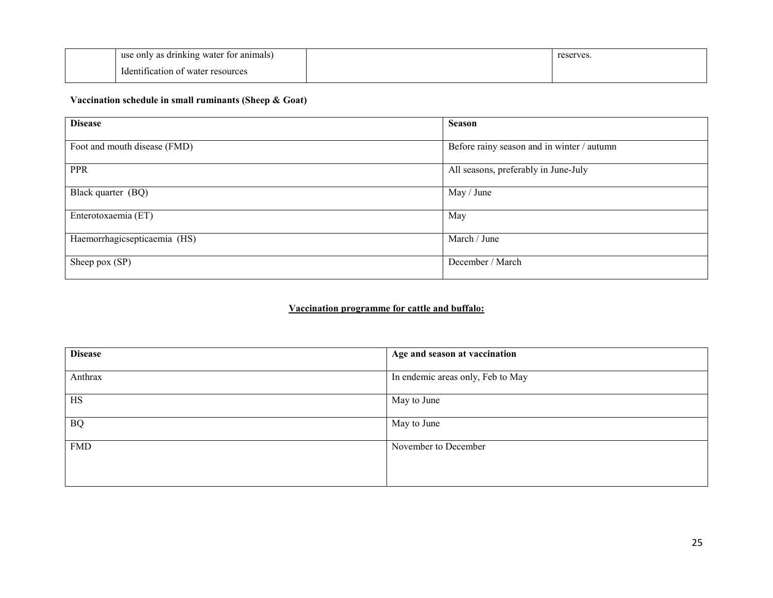| use only as drinking water for animals)             |  | reserves. |
|-----------------------------------------------------|--|-----------|
| $\mathbf{r}$ 1<br>Identification of water resources |  |           |

# Vaccination schedule in small ruminants (Sheep & Goat)

| <b>Disease</b>               | <b>Season</b>                              |
|------------------------------|--------------------------------------------|
| Foot and mouth disease (FMD) | Before rainy season and in winter / autumn |
| <b>PPR</b>                   | All seasons, preferably in June-July       |
| Black quarter (BQ)           | May / June                                 |
| Enterotoxaemia (ET)          | May                                        |
| Haemorrhagicsepticaemia (HS) | March / June                               |
| Sheep pox (SP)               | December / March                           |

# Vaccination programme for cattle and buffalo:

| <b>Disease</b> | Age and season at vaccination     |
|----------------|-----------------------------------|
| Anthrax        | In endemic areas only, Feb to May |
| <b>HS</b>      | May to June                       |
| <b>BQ</b>      | May to June                       |
| <b>FMD</b>     | November to December              |
|                |                                   |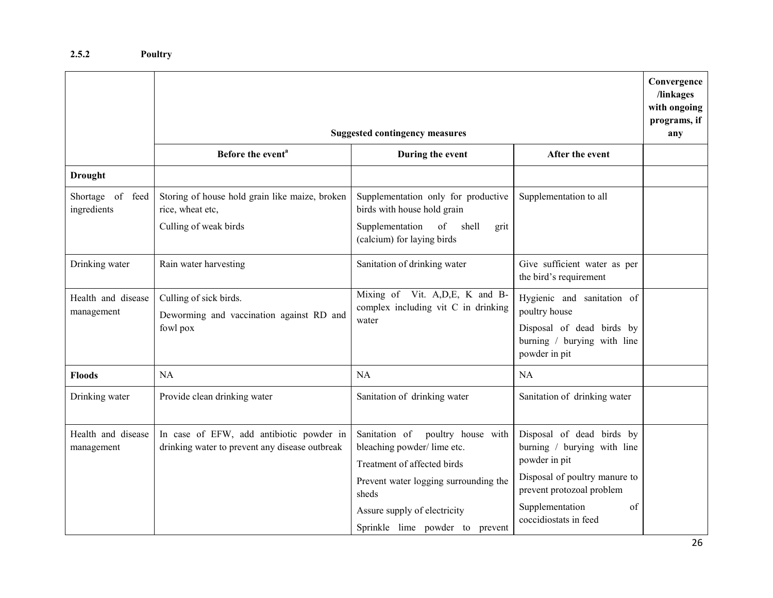|                                  | <b>Suggested contingency measures</b>                                                       |                                                                                                                                                                                                                       |                                                                                                                                                                                           | Convergence<br>/linkages<br>with ongoing<br>programs, if<br>any |
|----------------------------------|---------------------------------------------------------------------------------------------|-----------------------------------------------------------------------------------------------------------------------------------------------------------------------------------------------------------------------|-------------------------------------------------------------------------------------------------------------------------------------------------------------------------------------------|-----------------------------------------------------------------|
|                                  | Before the event <sup>a</sup><br>During the event<br>After the event                        |                                                                                                                                                                                                                       |                                                                                                                                                                                           |                                                                 |
| <b>Drought</b>                   |                                                                                             |                                                                                                                                                                                                                       |                                                                                                                                                                                           |                                                                 |
| Shortage of feed<br>ingredients  | Storing of house hold grain like maize, broken<br>rice, wheat etc,<br>Culling of weak birds | Supplementation only for productive<br>birds with house hold grain<br>Supplementation<br>of<br>shell<br>grit<br>(calcium) for laying birds                                                                            | Supplementation to all                                                                                                                                                                    |                                                                 |
| Drinking water                   | Rain water harvesting                                                                       | Sanitation of drinking water                                                                                                                                                                                          | Give sufficient water as per<br>the bird's requirement                                                                                                                                    |                                                                 |
| Health and disease<br>management | Culling of sick birds.<br>Deworming and vaccination against RD and<br>fowl pox              | Mixing of Vit. A, D, E, K and B-<br>complex including vit C in drinking<br>water                                                                                                                                      | Hygienic and sanitation of<br>poultry house<br>Disposal of dead birds by<br>burning / burying with line<br>powder in pit                                                                  |                                                                 |
| <b>Floods</b>                    | NA                                                                                          | NA                                                                                                                                                                                                                    | NA                                                                                                                                                                                        |                                                                 |
| Drinking water                   | Provide clean drinking water                                                                | Sanitation of drinking water                                                                                                                                                                                          | Sanitation of drinking water                                                                                                                                                              |                                                                 |
| Health and disease<br>management | In case of EFW, add antibiotic powder in<br>drinking water to prevent any disease outbreak  | Sanitation of<br>poultry house with<br>bleaching powder/lime etc.<br>Treatment of affected birds<br>Prevent water logging surrounding the<br>sheds<br>Assure supply of electricity<br>Sprinkle lime powder to prevent | Disposal of dead birds by<br>burning / burying with line<br>powder in pit<br>Disposal of poultry manure to<br>prevent protozoal problem<br>Supplementation<br>of<br>coccidiostats in feed |                                                                 |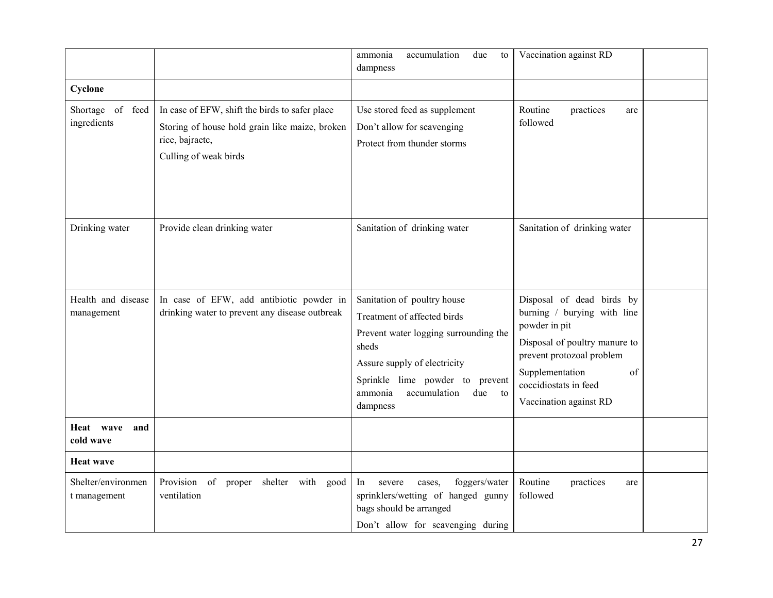|                                    |                                                                                                                                              | accumulation<br>ammonia<br>due<br>to<br>dampness                                                                                                                                                                                    | Vaccination against RD                                                                                                                                                                                              |  |
|------------------------------------|----------------------------------------------------------------------------------------------------------------------------------------------|-------------------------------------------------------------------------------------------------------------------------------------------------------------------------------------------------------------------------------------|---------------------------------------------------------------------------------------------------------------------------------------------------------------------------------------------------------------------|--|
| Cyclone                            |                                                                                                                                              |                                                                                                                                                                                                                                     |                                                                                                                                                                                                                     |  |
| Shortage of feed<br>ingredients    | In case of EFW, shift the birds to safer place<br>Storing of house hold grain like maize, broken<br>rice, bajraetc,<br>Culling of weak birds | Use stored feed as supplement<br>Don't allow for scavenging<br>Protect from thunder storms                                                                                                                                          | Routine<br>practices<br>are<br>followed                                                                                                                                                                             |  |
| Drinking water                     | Provide clean drinking water                                                                                                                 | Sanitation of drinking water                                                                                                                                                                                                        | Sanitation of drinking water                                                                                                                                                                                        |  |
| Health and disease<br>management   | In case of EFW, add antibiotic powder in<br>drinking water to prevent any disease outbreak                                                   | Sanitation of poultry house<br>Treatment of affected birds<br>Prevent water logging surrounding the<br>sheds<br>Assure supply of electricity<br>Sprinkle lime powder to prevent<br>ammonia<br>accumulation<br>due<br>to<br>dampness | Disposal of dead birds by<br>burning / burying with line<br>powder in pit<br>Disposal of poultry manure to<br>prevent protozoal problem<br>Supplementation<br>of<br>coccidiostats in feed<br>Vaccination against RD |  |
| Heat wave<br>and<br>cold wave      |                                                                                                                                              |                                                                                                                                                                                                                                     |                                                                                                                                                                                                                     |  |
| <b>Heat wave</b>                   |                                                                                                                                              |                                                                                                                                                                                                                                     |                                                                                                                                                                                                                     |  |
| Shelter/environmen<br>t management | Provision of proper shelter with good<br>ventilation                                                                                         | In<br>foggers/water<br>severe<br>cases,<br>sprinklers/wetting of hanged gunny<br>bags should be arranged<br>Don't allow for scavenging during                                                                                       | Routine<br>practices<br>are<br>followed                                                                                                                                                                             |  |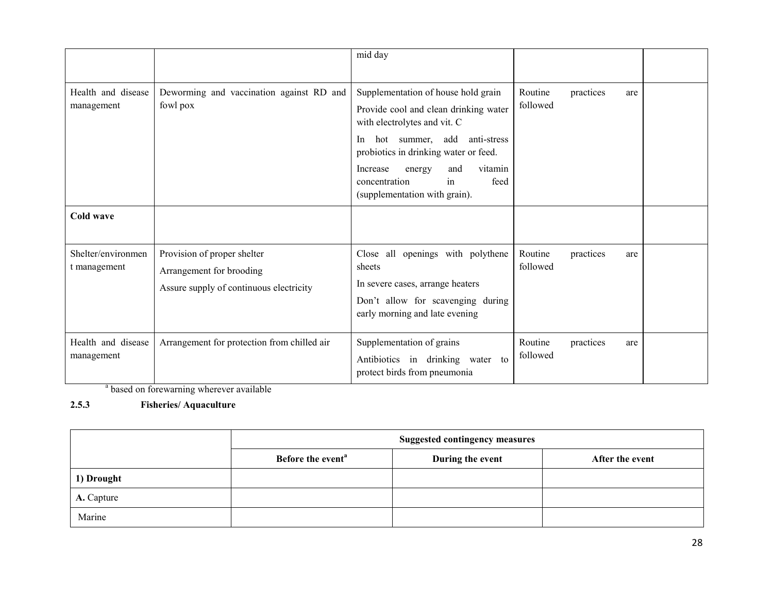|                                    |                                                                                                    | mid day                                                                                                                                                                                                                                                                                            |                     |                  |  |
|------------------------------------|----------------------------------------------------------------------------------------------------|----------------------------------------------------------------------------------------------------------------------------------------------------------------------------------------------------------------------------------------------------------------------------------------------------|---------------------|------------------|--|
|                                    |                                                                                                    |                                                                                                                                                                                                                                                                                                    |                     |                  |  |
| Health and disease<br>management   | Deworming and vaccination against RD and<br>fowl pox                                               | Supplementation of house hold grain<br>Provide cool and clean drinking water<br>with electrolytes and vit. C<br>hot summer, add anti-stress<br>In<br>probiotics in drinking water or feed.<br>vitamin<br>and<br>Increase<br>energy<br>in<br>feed<br>concentration<br>(supplementation with grain). | Routine<br>followed | practices<br>are |  |
| Cold wave                          |                                                                                                    |                                                                                                                                                                                                                                                                                                    |                     |                  |  |
| Shelter/environmen<br>t management | Provision of proper shelter<br>Arrangement for brooding<br>Assure supply of continuous electricity | Close all openings with polythene<br>sheets<br>In severe cases, arrange heaters<br>Don't allow for scavenging during<br>early morning and late evening                                                                                                                                             | Routine<br>followed | practices<br>are |  |
| Health and disease<br>management   | Arrangement for protection from chilled air                                                        | Supplementation of grains<br>Antibiotics in drinking water to<br>protect birds from pneumonia                                                                                                                                                                                                      | Routine<br>followed | practices<br>are |  |

<sup>a</sup> based on forewarning wherever available

# 2.5.3 Fisheries/ Aquaculture

|            | <b>Suggested contingency measures</b> |                  |                 |
|------------|---------------------------------------|------------------|-----------------|
|            | Before the event <sup>a</sup>         | During the event | After the event |
| 1) Drought |                                       |                  |                 |
| A. Capture |                                       |                  |                 |
| Marine     |                                       |                  |                 |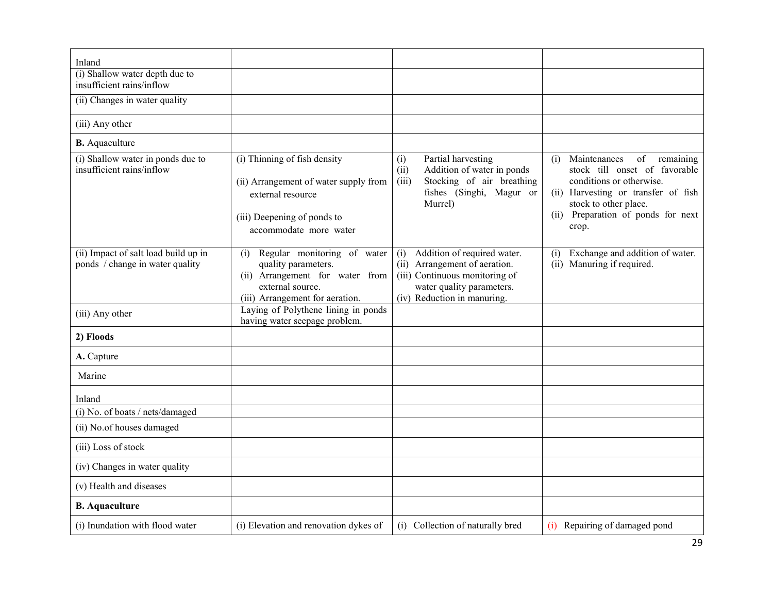| Inland                                                                  |                                                                                                                                                     |                                                                                                                                                                      |                                                                                                                                                                                                                    |
|-------------------------------------------------------------------------|-----------------------------------------------------------------------------------------------------------------------------------------------------|----------------------------------------------------------------------------------------------------------------------------------------------------------------------|--------------------------------------------------------------------------------------------------------------------------------------------------------------------------------------------------------------------|
| (i) Shallow water depth due to                                          |                                                                                                                                                     |                                                                                                                                                                      |                                                                                                                                                                                                                    |
| insufficient rains/inflow                                               |                                                                                                                                                     |                                                                                                                                                                      |                                                                                                                                                                                                                    |
| (ii) Changes in water quality                                           |                                                                                                                                                     |                                                                                                                                                                      |                                                                                                                                                                                                                    |
| (iii) Any other                                                         |                                                                                                                                                     |                                                                                                                                                                      |                                                                                                                                                                                                                    |
| <b>B.</b> Aquaculture                                                   |                                                                                                                                                     |                                                                                                                                                                      |                                                                                                                                                                                                                    |
| (i) Shallow water in ponds due to<br>insufficient rains/inflow          | (i) Thinning of fish density<br>(ii) Arrangement of water supply from<br>external resource<br>(iii) Deepening of ponds to<br>accommodate more water | Partial harvesting<br>(i)<br>Addition of water in ponds<br>(ii)<br>Stocking of air breathing<br>(iii)<br>fishes (Singhi, Magur or<br>Murrel)                         | Maintenances<br>of<br>(i)<br>remaining<br>stock till onset of favorable<br>conditions or otherwise.<br>(ii) Harvesting or transfer of fish<br>stock to other place.<br>(ii) Preparation of ponds for next<br>crop. |
| (ii) Impact of salt load build up in<br>ponds / change in water quality | Regular monitoring of water<br>(i)<br>quality parameters.<br>(ii) Arrangement for water from<br>external source.<br>(iii) Arrangement for aeration. | Addition of required water.<br>(i)<br>Arrangement of aeration.<br>(ii)<br>(iii) Continuous monitoring of<br>water quality parameters.<br>(iv) Reduction in manuring. | Exchange and addition of water.<br>(i)<br>(ii) Manuring if required.                                                                                                                                               |
| (iii) Any other                                                         | Laying of Polythene lining in ponds<br>having water seepage problem.                                                                                |                                                                                                                                                                      |                                                                                                                                                                                                                    |
| 2) Floods                                                               |                                                                                                                                                     |                                                                                                                                                                      |                                                                                                                                                                                                                    |
| A. Capture                                                              |                                                                                                                                                     |                                                                                                                                                                      |                                                                                                                                                                                                                    |
| Marine                                                                  |                                                                                                                                                     |                                                                                                                                                                      |                                                                                                                                                                                                                    |
| Inland                                                                  |                                                                                                                                                     |                                                                                                                                                                      |                                                                                                                                                                                                                    |
| (i) No. of boats / nets/damaged                                         |                                                                                                                                                     |                                                                                                                                                                      |                                                                                                                                                                                                                    |
| (ii) No.of houses damaged                                               |                                                                                                                                                     |                                                                                                                                                                      |                                                                                                                                                                                                                    |
| (iii) Loss of stock                                                     |                                                                                                                                                     |                                                                                                                                                                      |                                                                                                                                                                                                                    |
| (iv) Changes in water quality                                           |                                                                                                                                                     |                                                                                                                                                                      |                                                                                                                                                                                                                    |
| (v) Health and diseases                                                 |                                                                                                                                                     |                                                                                                                                                                      |                                                                                                                                                                                                                    |
| <b>B.</b> Aquaculture                                                   |                                                                                                                                                     |                                                                                                                                                                      |                                                                                                                                                                                                                    |
| (i) Inundation with flood water                                         | (i) Elevation and renovation dykes of                                                                                                               | (i) Collection of naturally bred                                                                                                                                     | (i) Repairing of damaged pond                                                                                                                                                                                      |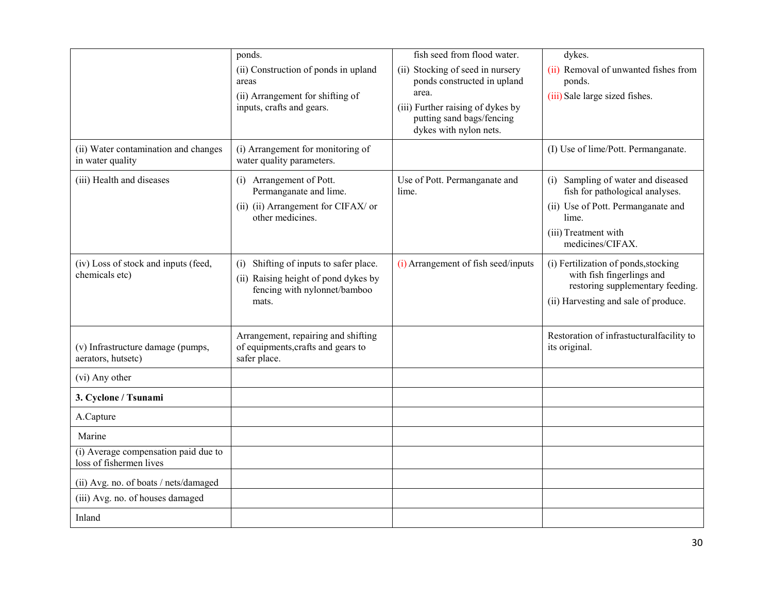|                                                                 | ponds.                                                                                                                  | fish seed from flood water.                                                                                                                                          | dykes.                                                                                                                                                           |
|-----------------------------------------------------------------|-------------------------------------------------------------------------------------------------------------------------|----------------------------------------------------------------------------------------------------------------------------------------------------------------------|------------------------------------------------------------------------------------------------------------------------------------------------------------------|
|                                                                 | (ii) Construction of ponds in upland<br>areas<br>(ii) Arrangement for shifting of<br>inputs, crafts and gears.          | (ii) Stocking of seed in nursery<br>ponds constructed in upland<br>area.<br>(iii) Further raising of dykes by<br>putting sand bags/fencing<br>dykes with nylon nets. | (ii) Removal of unwanted fishes from<br>ponds.<br>(iii) Sale large sized fishes.                                                                                 |
| (ii) Water contamination and changes<br>in water quality        | (i) Arrangement for monitoring of<br>water quality parameters.                                                          |                                                                                                                                                                      | (I) Use of lime/Pott. Permanganate.                                                                                                                              |
| (iii) Health and diseases                                       | (i) Arrangement of Pott.<br>Permanganate and lime.<br>(ii) (ii) Arrangement for CIFAX/ or<br>other medicines.           | Use of Pott. Permanganate and<br>lime.                                                                                                                               | (i) Sampling of water and diseased<br>fish for pathological analyses.<br>(ii) Use of Pott. Permanganate and<br>lime.<br>(iii) Treatment with<br>medicines/CIFAX. |
| (iv) Loss of stock and inputs (feed,<br>chemicals etc)          | (i) Shifting of inputs to safer place.<br>(ii) Raising height of pond dykes by<br>fencing with nylonnet/bamboo<br>mats. | (i) Arrangement of fish seed/inputs                                                                                                                                  | (i) Fertilization of ponds, stocking<br>with fish fingerlings and<br>restoring supplementary feeding.<br>(ii) Harvesting and sale of produce.                    |
| (v) Infrastructure damage (pumps,<br>aerators, hutsetc)         | Arrangement, repairing and shifting<br>of equipments, crafts and gears to<br>safer place.                               |                                                                                                                                                                      | Restoration of infrastucturalfacility to<br>its original.                                                                                                        |
| (vi) Any other                                                  |                                                                                                                         |                                                                                                                                                                      |                                                                                                                                                                  |
| 3. Cyclone / Tsunami                                            |                                                                                                                         |                                                                                                                                                                      |                                                                                                                                                                  |
| A.Capture                                                       |                                                                                                                         |                                                                                                                                                                      |                                                                                                                                                                  |
| Marine                                                          |                                                                                                                         |                                                                                                                                                                      |                                                                                                                                                                  |
| (i) Average compensation paid due to<br>loss of fishermen lives |                                                                                                                         |                                                                                                                                                                      |                                                                                                                                                                  |
| (ii) Avg. no. of boats / nets/damaged                           |                                                                                                                         |                                                                                                                                                                      |                                                                                                                                                                  |
| (iii) Avg. no. of houses damaged                                |                                                                                                                         |                                                                                                                                                                      |                                                                                                                                                                  |
| Inland                                                          |                                                                                                                         |                                                                                                                                                                      |                                                                                                                                                                  |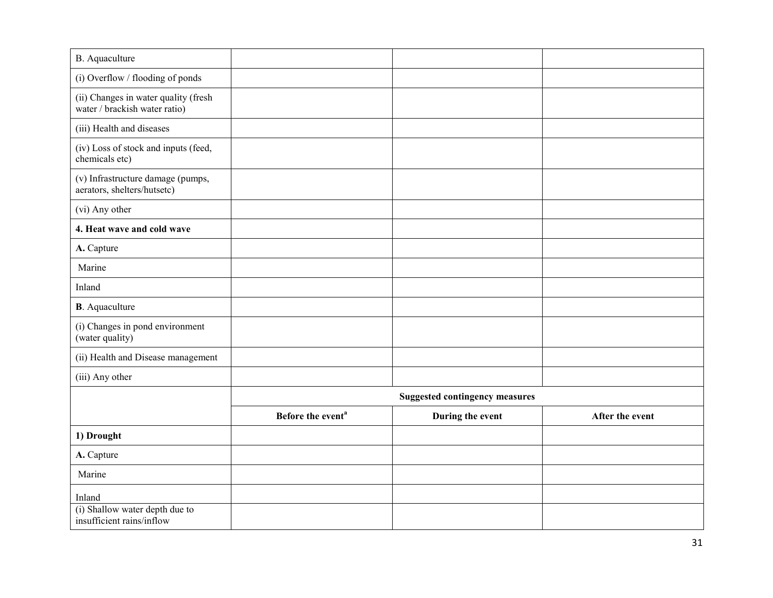| <b>B.</b> Aquaculture                                                 |                                       |                  |                 |  |
|-----------------------------------------------------------------------|---------------------------------------|------------------|-----------------|--|
| (i) Overflow / flooding of ponds                                      |                                       |                  |                 |  |
| (ii) Changes in water quality (fresh<br>water / brackish water ratio) |                                       |                  |                 |  |
| (iii) Health and diseases                                             |                                       |                  |                 |  |
| (iv) Loss of stock and inputs (feed,<br>chemicals etc)                |                                       |                  |                 |  |
| (v) Infrastructure damage (pumps,<br>aerators, shelters/hutsetc)      |                                       |                  |                 |  |
| (vi) Any other                                                        |                                       |                  |                 |  |
| 4. Heat wave and cold wave                                            |                                       |                  |                 |  |
| A. Capture                                                            |                                       |                  |                 |  |
| Marine                                                                |                                       |                  |                 |  |
| Inland                                                                |                                       |                  |                 |  |
| <b>B</b> . Aquaculture                                                |                                       |                  |                 |  |
| (i) Changes in pond environment<br>(water quality)                    |                                       |                  |                 |  |
| (ii) Health and Disease management                                    |                                       |                  |                 |  |
| (iii) Any other                                                       |                                       |                  |                 |  |
|                                                                       | <b>Suggested contingency measures</b> |                  |                 |  |
|                                                                       | Before the event <sup>a</sup>         | During the event | After the event |  |
| 1) Drought                                                            |                                       |                  |                 |  |
| A. Capture                                                            |                                       |                  |                 |  |
| Marine                                                                |                                       |                  |                 |  |
| Inland                                                                |                                       |                  |                 |  |
| (i) Shallow water depth due to<br>insufficient rains/inflow           |                                       |                  |                 |  |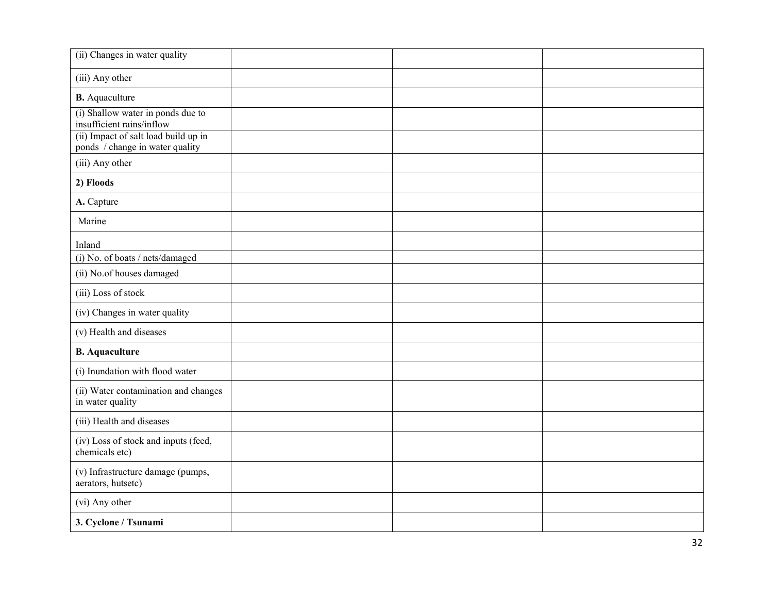| (ii) Changes in water quality                                           |  |  |
|-------------------------------------------------------------------------|--|--|
| (iii) Any other                                                         |  |  |
| <b>B.</b> Aquaculture                                                   |  |  |
| (i) Shallow water in ponds due to<br>insufficient rains/inflow          |  |  |
| (ii) Impact of salt load build up in<br>ponds / change in water quality |  |  |
| (iii) Any other                                                         |  |  |
| 2) Floods                                                               |  |  |
| A. Capture                                                              |  |  |
| Marine                                                                  |  |  |
| Inland                                                                  |  |  |
| (i) No. of boats / nets/damaged                                         |  |  |
| (ii) No.of houses damaged                                               |  |  |
| (iii) Loss of stock                                                     |  |  |
| (iv) Changes in water quality                                           |  |  |
| (v) Health and diseases                                                 |  |  |
| <b>B.</b> Aquaculture                                                   |  |  |
| (i) Inundation with flood water                                         |  |  |
| (ii) Water contamination and changes<br>in water quality                |  |  |
| (iii) Health and diseases                                               |  |  |
| (iv) Loss of stock and inputs (feed,<br>chemicals etc)                  |  |  |
| (v) Infrastructure damage (pumps,<br>aerators, hutsetc)                 |  |  |
| (vi) Any other                                                          |  |  |
| 3. Cyclone / Tsunami                                                    |  |  |